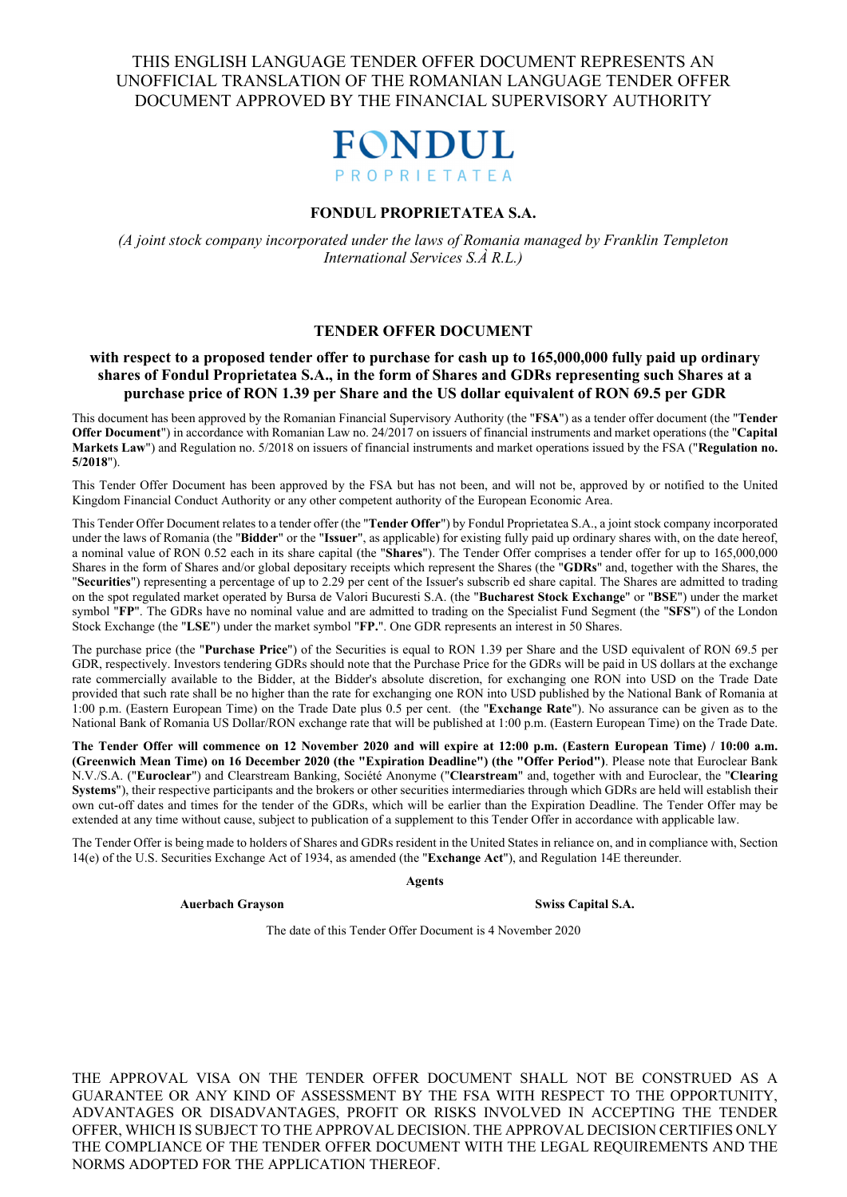

#### **FONDUL PROPRIETATEA S.A.**

*(A joint stock company incorporated under the laws of Romania managed by Franklin Templeton International Services S.À R.L.)* 

#### **TENDER OFFER DOCUMENT**

#### **with respect to a proposed tender offer to purchase for cash up to 165,000,000 fully paid up ordinary shares of Fondul Proprietatea S.A., in the form of Shares and GDRs representing such Shares at a purchase price of RON 1.39 per Share and the US dollar equivalent of RON 69.5 per GDR**

This document has been approved by the Romanian Financial Supervisory Authority (the "**FSA**") as a tender offer document (the "**Tender Offer Document**") in accordance with Romanian Law no. 24/2017 on issuers of financial instruments and market operations (the "**Capital Markets Law**") and Regulation no. 5/2018 on issuers of financial instruments and market operations issued by the FSA ("**Regulation no. 5/2018**").

This Tender Offer Document has been approved by the FSA but has not been, and will not be, approved by or notified to the United Kingdom Financial Conduct Authority or any other competent authority of the European Economic Area.

This Tender Offer Document relates to a tender offer (the "**Tender Offer**") by Fondul Proprietatea S.A., a joint stock company incorporated under the laws of Romania (the "**Bidder**" or the "**Issuer**", as applicable) for existing fully paid up ordinary shares with, on the date hereof, a nominal value of RON 0.52 each in its share capital (the "**Shares**"). The Tender Offer comprises a tender offer for up to 165,000,000 Shares in the form of Shares and/or global depositary receipts which represent the Shares (the "**GDRs**" and, together with the Shares, the "**Securities**") representing a percentage of up to 2.29 per cent of the Issuer's subscrib ed share capital. The Shares are admitted to trading on the spot regulated market operated by Bursa de Valori Bucuresti S.A. (the "**Bucharest Stock Exchange**" or "**BSE**") under the market symbol "**FP**". The GDRs have no nominal value and are admitted to trading on the Specialist Fund Segment (the "**SFS**") of the London Stock Exchange (the "**LSE**") under the market symbol "**FP.**". One GDR represents an interest in 50 Shares.

The purchase price (the "**Purchase Price**") of the Securities is equal to RON 1.39 per Share and the USD equivalent of RON 69.5 per GDR, respectively. Investors tendering GDRs should note that the Purchase Price for the GDRs will be paid in US dollars at the exchange rate commercially available to the Bidder, at the Bidder's absolute discretion, for exchanging one RON into USD on the Trade Date provided that such rate shall be no higher than the rate for exchanging one RON into USD published by the National Bank of Romania at 1:00 p.m. (Eastern European Time) on the Trade Date plus 0.5 per cent. (the "**Exchange Rate**"). No assurance can be given as to the National Bank of Romania US Dollar/RON exchange rate that will be published at 1:00 p.m. (Eastern European Time) on the Trade Date.

**The Tender Offer will commence on 12 November 2020 and will expire at 12:00 p.m. (Eastern European Time) / 10:00 a.m. (Greenwich Mean Time) on 16 December 2020 (the "Expiration Deadline") (the "Offer Period")**. Please note that Euroclear Bank N.V./S.A. ("**Euroclear**") and Clearstream Banking, Société Anonyme ("**Clearstream**" and, together with and Euroclear, the "**Clearing Systems**"), their respective participants and the brokers or other securities intermediaries through which GDRs are held will establish their own cut-off dates and times for the tender of the GDRs, which will be earlier than the Expiration Deadline. The Tender Offer may be extended at any time without cause, subject to publication of a supplement to this Tender Offer in accordance with applicable law.

The Tender Offer is being made to holders of Shares and GDRs resident in the United States in reliance on, and in compliance with, Section 14(e) of the U.S. Securities Exchange Act of 1934, as amended (the "**Exchange Act**"), and Regulation 14E thereunder.

**Agents** 

**Auerbach Grayson** Swiss Capital S.A.

The date of this Tender Offer Document is 4 November 2020

THE APPROVAL VISA ON THE TENDER OFFER DOCUMENT SHALL NOT BE CONSTRUED AS A GUARANTEE OR ANY KIND OF ASSESSMENT BY THE FSA WITH RESPECT TO THE OPPORTUNITY, ADVANTAGES OR DISADVANTAGES, PROFIT OR RISKS INVOLVED IN ACCEPTING THE TENDER OFFER, WHICH IS SUBJECT TO THE APPROVAL DECISION. THE APPROVAL DECISION CERTIFIES ONLY THE COMPLIANCE OF THE TENDER OFFER DOCUMENT WITH THE LEGAL REQUIREMENTS AND THE NORMS ADOPTED FOR THE APPLICATION THEREOF.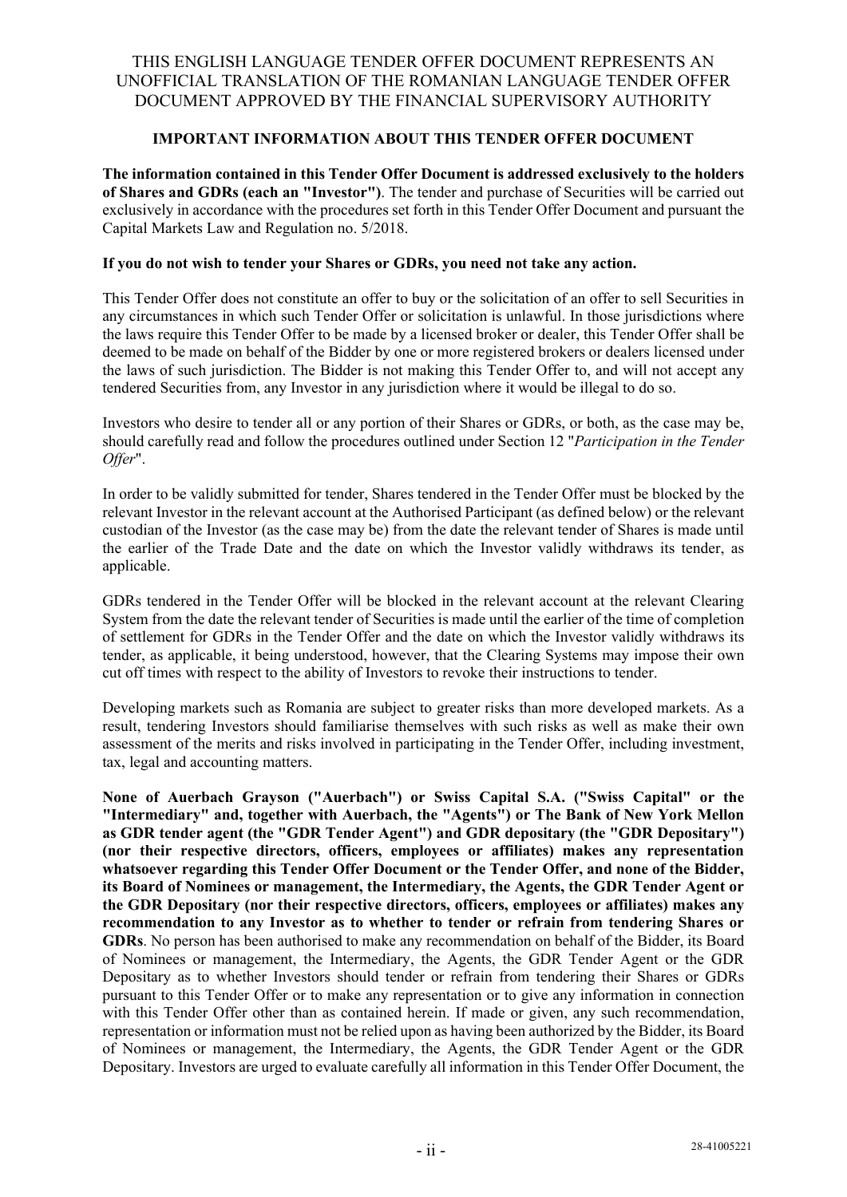### **IMPORTANT INFORMATION ABOUT THIS TENDER OFFER DOCUMENT**

**The information contained in this Tender Offer Document is addressed exclusively to the holders of Shares and GDRs (each an "Investor")**. The tender and purchase of Securities will be carried out exclusively in accordance with the procedures set forth in this Tender Offer Document and pursuant the Capital Markets Law and Regulation no. 5/2018.

#### **If you do not wish to tender your Shares or GDRs, you need not take any action.**

This Tender Offer does not constitute an offer to buy or the solicitation of an offer to sell Securities in any circumstances in which such Tender Offer or solicitation is unlawful. In those jurisdictions where the laws require this Tender Offer to be made by a licensed broker or dealer, this Tender Offer shall be deemed to be made on behalf of the Bidder by one or more registered brokers or dealers licensed under the laws of such jurisdiction. The Bidder is not making this Tender Offer to, and will not accept any tendered Securities from, any Investor in any jurisdiction where it would be illegal to do so.

Investors who desire to tender all or any portion of their Shares or GDRs, or both, as the case may be, should carefully read and follow the procedures outlined under Section 12 "*Participation in the Tender Offer*".

In order to be validly submitted for tender, Shares tendered in the Tender Offer must be blocked by the relevant Investor in the relevant account at the Authorised Participant (as defined below) or the relevant custodian of the Investor (as the case may be) from the date the relevant tender of Shares is made until the earlier of the Trade Date and the date on which the Investor validly withdraws its tender, as applicable.

GDRs tendered in the Tender Offer will be blocked in the relevant account at the relevant Clearing System from the date the relevant tender of Securities is made until the earlier of the time of completion of settlement for GDRs in the Tender Offer and the date on which the Investor validly withdraws its tender, as applicable, it being understood, however, that the Clearing Systems may impose their own cut off times with respect to the ability of Investors to revoke their instructions to tender.

Developing markets such as Romania are subject to greater risks than more developed markets. As a result, tendering Investors should familiarise themselves with such risks as well as make their own assessment of the merits and risks involved in participating in the Tender Offer, including investment, tax, legal and accounting matters.

**None of Auerbach Grayson ("Auerbach") or Swiss Capital S.A. ("Swiss Capital" or the "Intermediary" and, together with Auerbach, the "Agents") or The Bank of New York Mellon as GDR tender agent (the "GDR Tender Agent") and GDR depositary (the "GDR Depositary") (nor their respective directors, officers, employees or affiliates) makes any representation whatsoever regarding this Tender Offer Document or the Tender Offer, and none of the Bidder, its Board of Nominees or management, the Intermediary, the Agents, the GDR Tender Agent or the GDR Depositary (nor their respective directors, officers, employees or affiliates) makes any recommendation to any Investor as to whether to tender or refrain from tendering Shares or GDRs**. No person has been authorised to make any recommendation on behalf of the Bidder, its Board of Nominees or management, the Intermediary, the Agents, the GDR Tender Agent or the GDR Depositary as to whether Investors should tender or refrain from tendering their Shares or GDRs pursuant to this Tender Offer or to make any representation or to give any information in connection with this Tender Offer other than as contained herein. If made or given, any such recommendation, representation or information must not be relied upon as having been authorized by the Bidder, its Board of Nominees or management, the Intermediary, the Agents, the GDR Tender Agent or the GDR Depositary. Investors are urged to evaluate carefully all information in this Tender Offer Document, the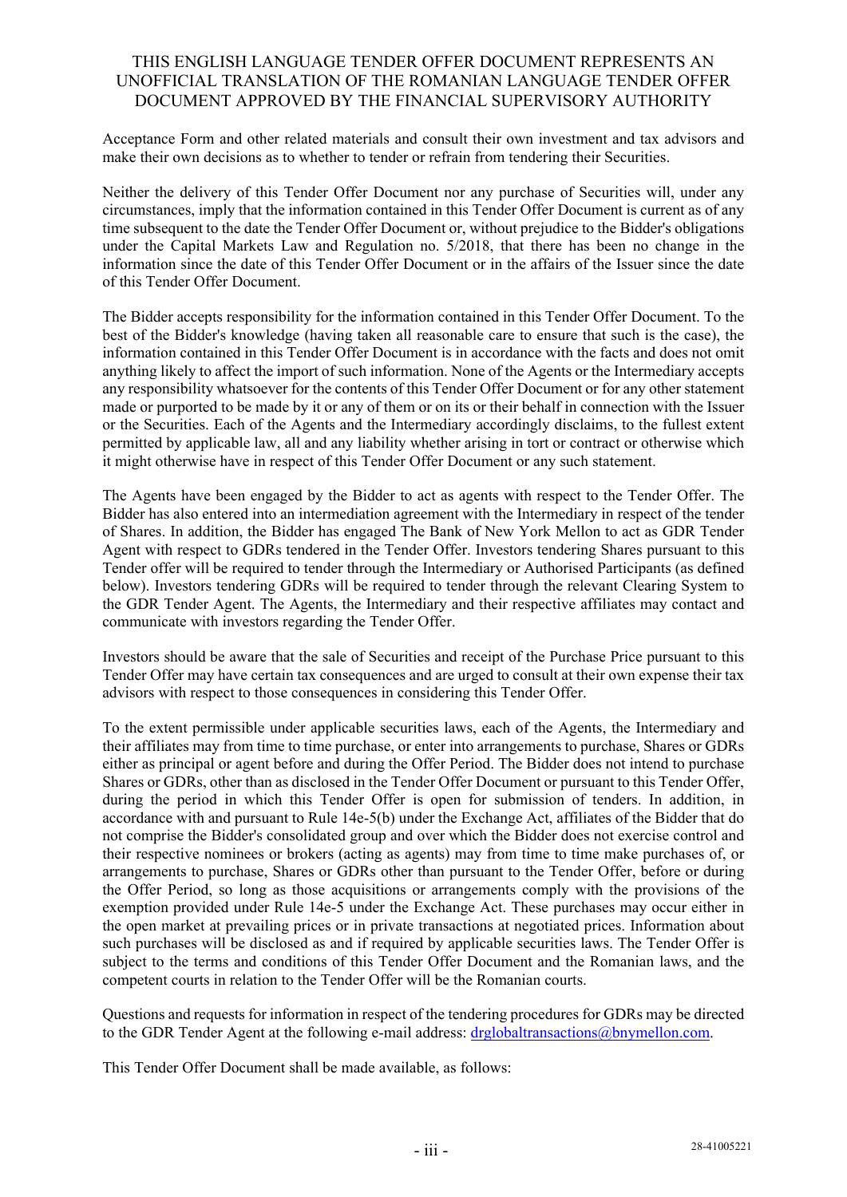Acceptance Form and other related materials and consult their own investment and tax advisors and make their own decisions as to whether to tender or refrain from tendering their Securities.

Neither the delivery of this Tender Offer Document nor any purchase of Securities will, under any circumstances, imply that the information contained in this Tender Offer Document is current as of any time subsequent to the date the Tender Offer Document or, without prejudice to the Bidder's obligations under the Capital Markets Law and Regulation no. 5/2018, that there has been no change in the information since the date of this Tender Offer Document or in the affairs of the Issuer since the date of this Tender Offer Document.

The Bidder accepts responsibility for the information contained in this Tender Offer Document. To the best of the Bidder's knowledge (having taken all reasonable care to ensure that such is the case), the information contained in this Tender Offer Document is in accordance with the facts and does not omit anything likely to affect the import of such information. None of the Agents or the Intermediary accepts any responsibility whatsoever for the contents of this Tender Offer Document or for any other statement made or purported to be made by it or any of them or on its or their behalf in connection with the Issuer or the Securities. Each of the Agents and the Intermediary accordingly disclaims, to the fullest extent permitted by applicable law, all and any liability whether arising in tort or contract or otherwise which it might otherwise have in respect of this Tender Offer Document or any such statement.

The Agents have been engaged by the Bidder to act as agents with respect to the Tender Offer. The Bidder has also entered into an intermediation agreement with the Intermediary in respect of the tender of Shares. In addition, the Bidder has engaged The Bank of New York Mellon to act as GDR Tender Agent with respect to GDRs tendered in the Tender Offer. Investors tendering Shares pursuant to this Tender offer will be required to tender through the Intermediary or Authorised Participants (as defined below). Investors tendering GDRs will be required to tender through the relevant Clearing System to the GDR Tender Agent. The Agents, the Intermediary and their respective affiliates may contact and communicate with investors regarding the Tender Offer.

Investors should be aware that the sale of Securities and receipt of the Purchase Price pursuant to this Tender Offer may have certain tax consequences and are urged to consult at their own expense their tax advisors with respect to those consequences in considering this Tender Offer.

To the extent permissible under applicable securities laws, each of the Agents, the Intermediary and their affiliates may from time to time purchase, or enter into arrangements to purchase, Shares or GDRs either as principal or agent before and during the Offer Period. The Bidder does not intend to purchase Shares or GDRs, other than as disclosed in the Tender Offer Document or pursuant to this Tender Offer, during the period in which this Tender Offer is open for submission of tenders. In addition, in accordance with and pursuant to Rule 14e-5(b) under the Exchange Act, affiliates of the Bidder that do not comprise the Bidder's consolidated group and over which the Bidder does not exercise control and their respective nominees or brokers (acting as agents) may from time to time make purchases of, or arrangements to purchase, Shares or GDRs other than pursuant to the Tender Offer, before or during the Offer Period, so long as those acquisitions or arrangements comply with the provisions of the exemption provided under Rule 14e-5 under the Exchange Act. These purchases may occur either in the open market at prevailing prices or in private transactions at negotiated prices. Information about such purchases will be disclosed as and if required by applicable securities laws. The Tender Offer is subject to the terms and conditions of this Tender Offer Document and the Romanian laws, and the competent courts in relation to the Tender Offer will be the Romanian courts.

Questions and requests for information in respect of the tendering procedures for GDRs may be directed to the GDR Tender Agent at the following e-mail address: drglobaltransactions@bnymellon.com.

This Tender Offer Document shall be made available, as follows: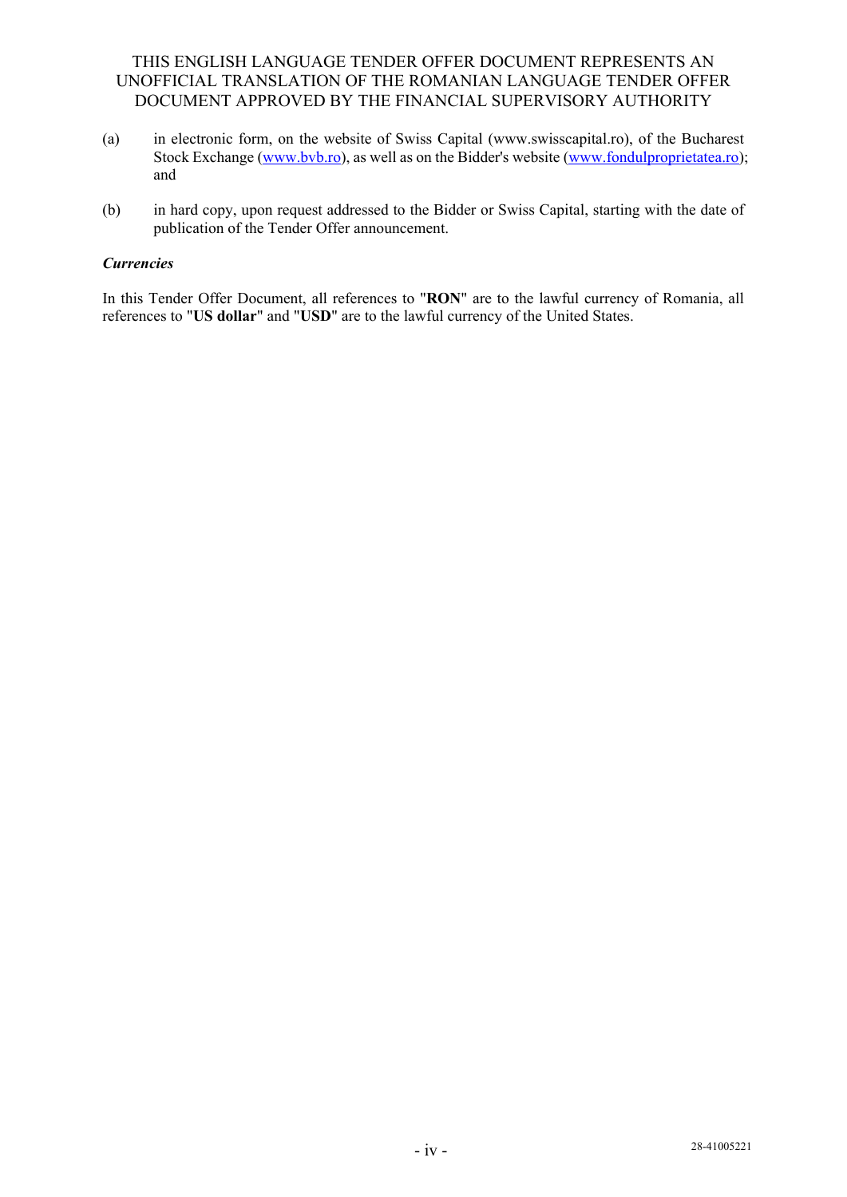- (a) in electronic form, on the website of Swiss Capital (www.swisscapital.ro), of the Bucharest Stock Exchange (www.bvb.ro), as well as on the Bidder's website (www.fondulproprietatea.ro); and
- (b) in hard copy, upon request addressed to the Bidder or Swiss Capital, starting with the date of publication of the Tender Offer announcement.

### *Currencies*

In this Tender Offer Document, all references to "**RON**" are to the lawful currency of Romania, all references to "**US dollar**" and "**USD**" are to the lawful currency of the United States.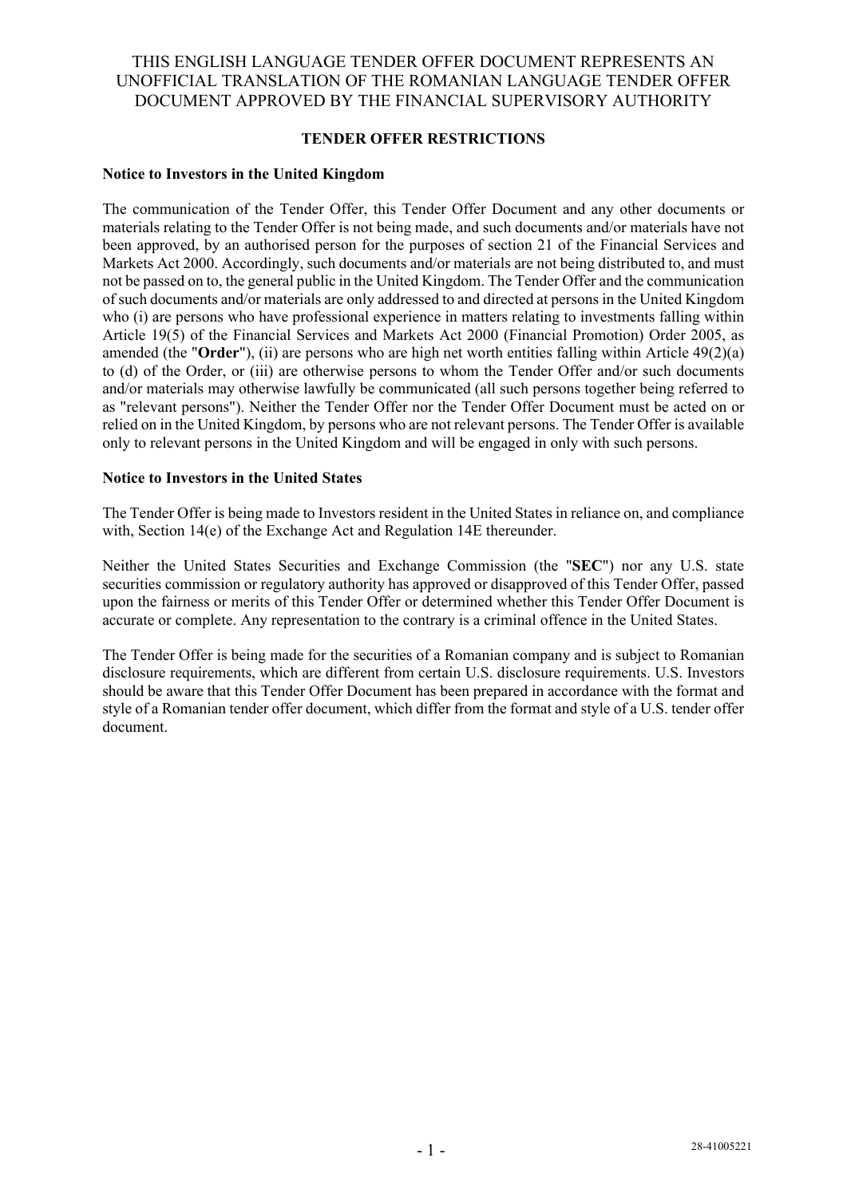### **TENDER OFFER RESTRICTIONS**

#### **Notice to Investors in the United Kingdom**

The communication of the Tender Offer, this Tender Offer Document and any other documents or materials relating to the Tender Offer is not being made, and such documents and/or materials have not been approved, by an authorised person for the purposes of section 21 of the Financial Services and Markets Act 2000. Accordingly, such documents and/or materials are not being distributed to, and must not be passed on to, the general public in the United Kingdom. The Tender Offer and the communication of such documents and/or materials are only addressed to and directed at persons in the United Kingdom who (i) are persons who have professional experience in matters relating to investments falling within Article 19(5) of the Financial Services and Markets Act 2000 (Financial Promotion) Order 2005, as amended (the "**Order**"), (ii) are persons who are high net worth entities falling within Article 49(2)(a) to (d) of the Order, or (iii) are otherwise persons to whom the Tender Offer and/or such documents and/or materials may otherwise lawfully be communicated (all such persons together being referred to as "relevant persons"). Neither the Tender Offer nor the Tender Offer Document must be acted on or relied on in the United Kingdom, by persons who are not relevant persons. The Tender Offer is available only to relevant persons in the United Kingdom and will be engaged in only with such persons.

#### **Notice to Investors in the United States**

The Tender Offer is being made to Investors resident in the United States in reliance on, and compliance with, Section 14(e) of the Exchange Act and Regulation 14E thereunder.

Neither the United States Securities and Exchange Commission (the "**SEC**") nor any U.S. state securities commission or regulatory authority has approved or disapproved of this Tender Offer, passed upon the fairness or merits of this Tender Offer or determined whether this Tender Offer Document is accurate or complete. Any representation to the contrary is a criminal offence in the United States.

The Tender Offer is being made for the securities of a Romanian company and is subject to Romanian disclosure requirements, which are different from certain U.S. disclosure requirements. U.S. Investors should be aware that this Tender Offer Document has been prepared in accordance with the format and style of a Romanian tender offer document, which differ from the format and style of a U.S. tender offer document.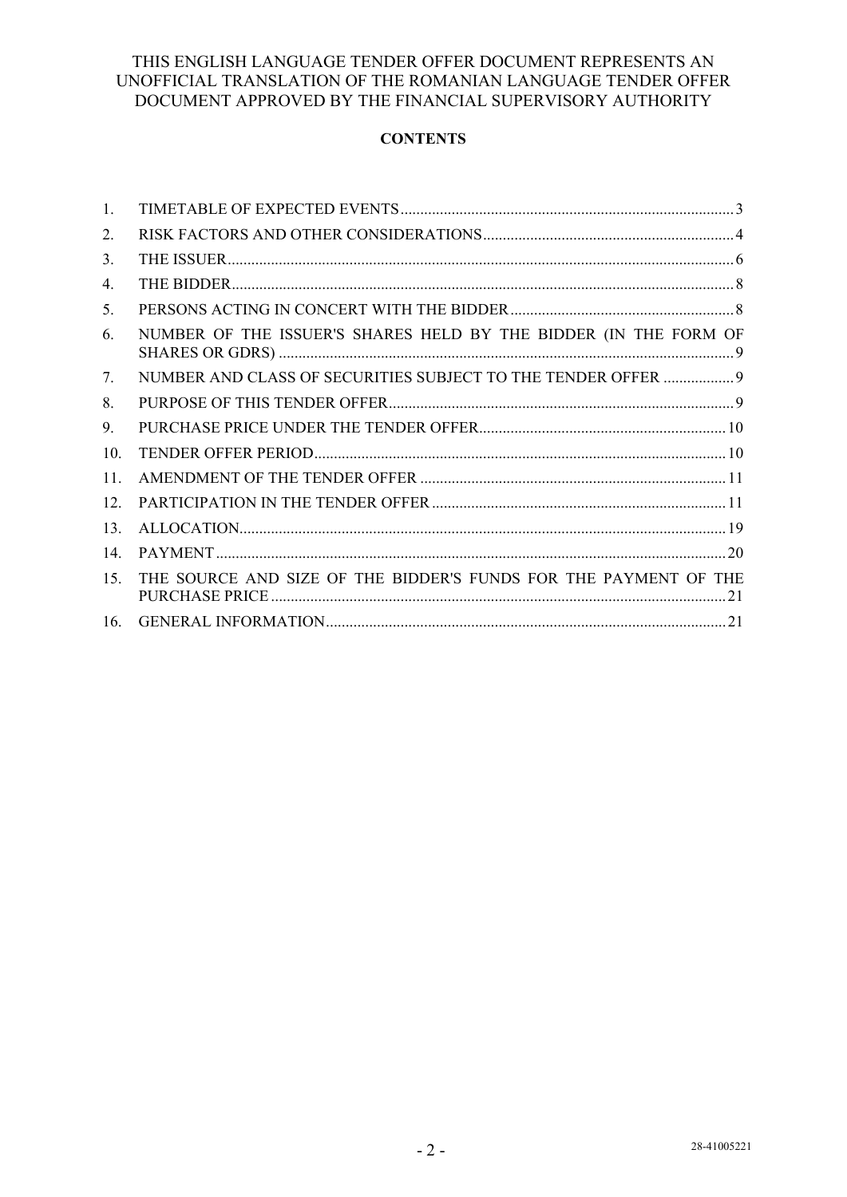# **CONTENTS**

| 1.  |                                                                  |
|-----|------------------------------------------------------------------|
| 2.  |                                                                  |
| 3.  |                                                                  |
| 4.  |                                                                  |
| 5.  |                                                                  |
| 6.  | NUMBER OF THE ISSUER'S SHARES HELD BY THE BIDDER (IN THE FORM OF |
| 7.  | NUMBER AND CLASS OF SECURITIES SUBJECT TO THE TENDER OFFER  9    |
| 8.  |                                                                  |
| 9.  |                                                                  |
| 10. |                                                                  |
| 11. |                                                                  |
| 12. |                                                                  |
| 13. |                                                                  |
| 14. |                                                                  |
| 15. | THE SOURCE AND SIZE OF THE BIDDER'S FUNDS FOR THE PAYMENT OF THE |
| 16. |                                                                  |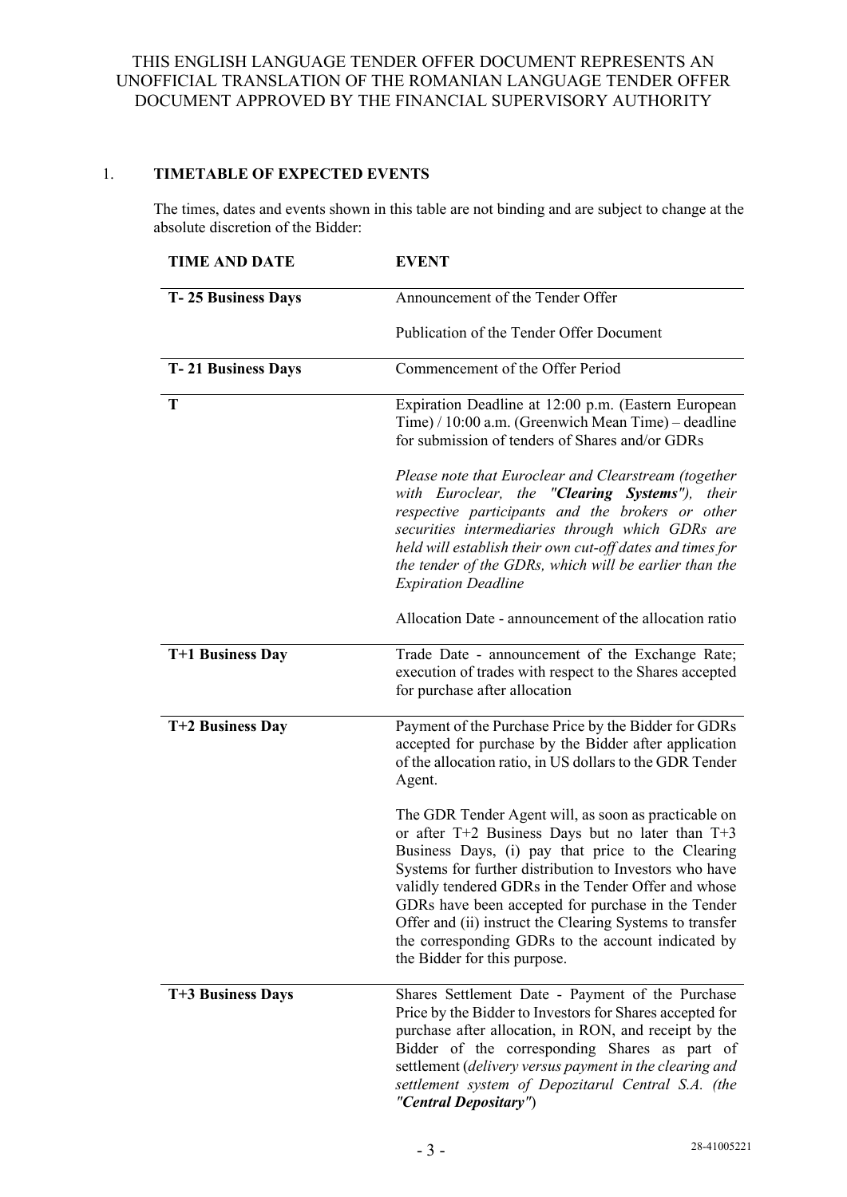## 1. **TIMETABLE OF EXPECTED EVENTS**

The times, dates and events shown in this table are not binding and are subject to change at the absolute discretion of the Bidder:

| <b>TIME AND DATE</b>      | <b>EVENT</b>                                                                                                                                                                                                                                                                                                                                                                                                                                                                           |  |  |
|---------------------------|----------------------------------------------------------------------------------------------------------------------------------------------------------------------------------------------------------------------------------------------------------------------------------------------------------------------------------------------------------------------------------------------------------------------------------------------------------------------------------------|--|--|
| T-25 Business Days        | Announcement of the Tender Offer                                                                                                                                                                                                                                                                                                                                                                                                                                                       |  |  |
|                           | Publication of the Tender Offer Document                                                                                                                                                                                                                                                                                                                                                                                                                                               |  |  |
| <b>T-21 Business Days</b> | Commencement of the Offer Period                                                                                                                                                                                                                                                                                                                                                                                                                                                       |  |  |
| T                         | Expiration Deadline at 12:00 p.m. (Eastern European<br>Time) / 10:00 a.m. (Greenwich Mean Time) – deadline<br>for submission of tenders of Shares and/or GDRs                                                                                                                                                                                                                                                                                                                          |  |  |
|                           | Please note that Euroclear and Clearstream (together<br>with Euroclear, the " <b>Clearing Systems</b> "),<br>their<br>respective participants and the brokers or other<br>securities intermediaries through which GDRs are<br>held will establish their own cut-off dates and times for<br>the tender of the GDRs, which will be earlier than the<br><b>Expiration Deadline</b>                                                                                                        |  |  |
|                           | Allocation Date - announcement of the allocation ratio                                                                                                                                                                                                                                                                                                                                                                                                                                 |  |  |
| T+1 Business Day          | Trade Date - announcement of the Exchange Rate;<br>execution of trades with respect to the Shares accepted<br>for purchase after allocation                                                                                                                                                                                                                                                                                                                                            |  |  |
| T+2 Business Day          | Payment of the Purchase Price by the Bidder for GDRs<br>accepted for purchase by the Bidder after application<br>of the allocation ratio, in US dollars to the GDR Tender<br>Agent.                                                                                                                                                                                                                                                                                                    |  |  |
|                           | The GDR Tender Agent will, as soon as practicable on<br>or after T+2 Business Days but no later than T+3<br>Business Days, (i) pay that price to the Clearing<br>Systems for further distribution to Investors who have<br>validly tendered GDRs in the Tender Offer and whose<br>GDRs have been accepted for purchase in the Tender<br>Offer and (ii) instruct the Clearing Systems to transfer<br>the corresponding GDRs to the account indicated by<br>the Bidder for this purpose. |  |  |
| T+3 Business Days         | Shares Settlement Date - Payment of the Purchase<br>Price by the Bidder to Investors for Shares accepted for<br>purchase after allocation, in RON, and receipt by the<br>Bidder of the corresponding Shares as part of<br>settlement (delivery versus payment in the clearing and<br>settlement system of Depozitarul Central S.A. (the<br>"Central Depositary")                                                                                                                       |  |  |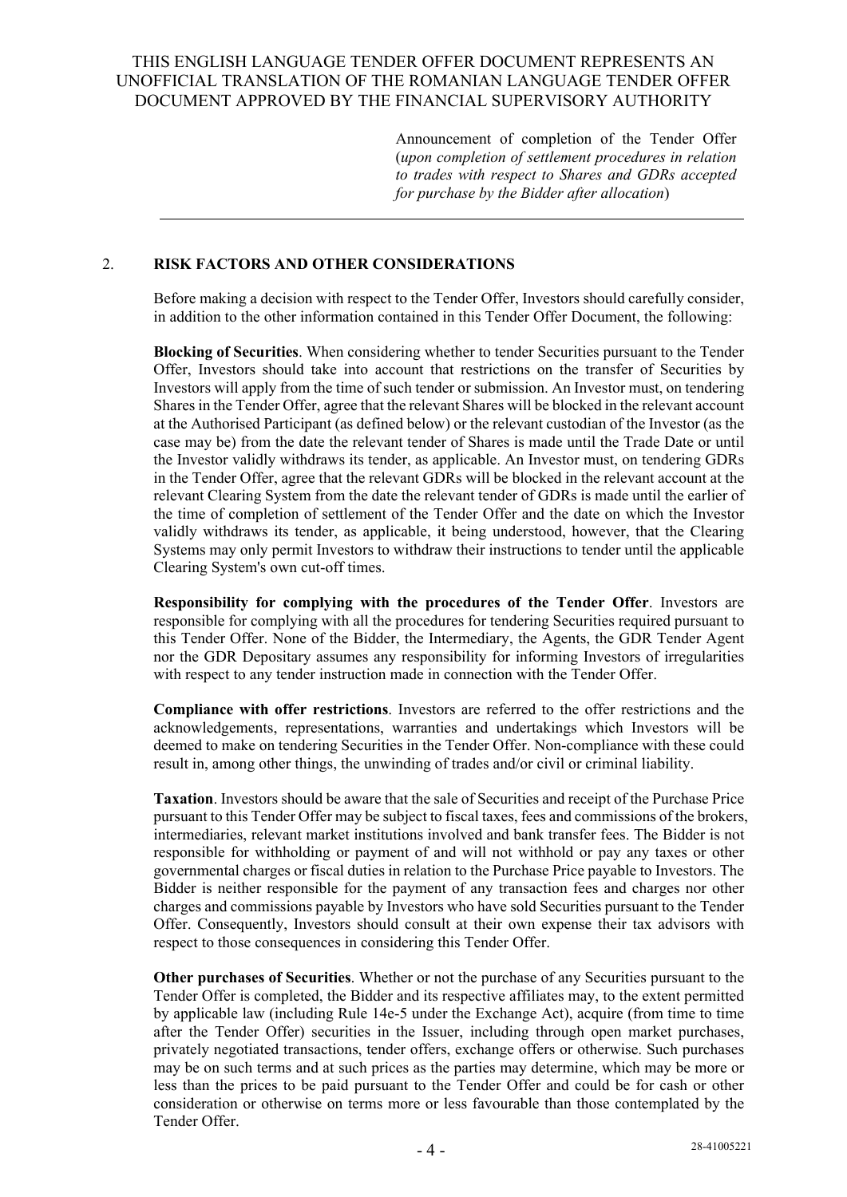Announcement of completion of the Tender Offer (*upon completion of settlement procedures in relation to trades with respect to Shares and GDRs accepted for purchase by the Bidder after allocation*)

### 2. **RISK FACTORS AND OTHER CONSIDERATIONS**

Before making a decision with respect to the Tender Offer, Investors should carefully consider, in addition to the other information contained in this Tender Offer Document, the following:

**Blocking of Securities**. When considering whether to tender Securities pursuant to the Tender Offer, Investors should take into account that restrictions on the transfer of Securities by Investors will apply from the time of such tender or submission. An Investor must, on tendering Shares in the Tender Offer, agree that the relevant Shares will be blocked in the relevant account at the Authorised Participant (as defined below) or the relevant custodian of the Investor (as the case may be) from the date the relevant tender of Shares is made until the Trade Date or until the Investor validly withdraws its tender, as applicable. An Investor must, on tendering GDRs in the Tender Offer, agree that the relevant GDRs will be blocked in the relevant account at the relevant Clearing System from the date the relevant tender of GDRs is made until the earlier of the time of completion of settlement of the Tender Offer and the date on which the Investor validly withdraws its tender, as applicable, it being understood, however, that the Clearing Systems may only permit Investors to withdraw their instructions to tender until the applicable Clearing System's own cut-off times.

**Responsibility for complying with the procedures of the Tender Offer**. Investors are responsible for complying with all the procedures for tendering Securities required pursuant to this Tender Offer. None of the Bidder, the Intermediary, the Agents, the GDR Tender Agent nor the GDR Depositary assumes any responsibility for informing Investors of irregularities with respect to any tender instruction made in connection with the Tender Offer.

**Compliance with offer restrictions**. Investors are referred to the offer restrictions and the acknowledgements, representations, warranties and undertakings which Investors will be deemed to make on tendering Securities in the Tender Offer. Non-compliance with these could result in, among other things, the unwinding of trades and/or civil or criminal liability.

**Taxation**. Investors should be aware that the sale of Securities and receipt of the Purchase Price pursuant to this Tender Offer may be subject to fiscal taxes, fees and commissions of the brokers, intermediaries, relevant market institutions involved and bank transfer fees. The Bidder is not responsible for withholding or payment of and will not withhold or pay any taxes or other governmental charges or fiscal duties in relation to the Purchase Price payable to Investors. The Bidder is neither responsible for the payment of any transaction fees and charges nor other charges and commissions payable by Investors who have sold Securities pursuant to the Tender Offer. Consequently, Investors should consult at their own expense their tax advisors with respect to those consequences in considering this Tender Offer.

**Other purchases of Securities**. Whether or not the purchase of any Securities pursuant to the Tender Offer is completed, the Bidder and its respective affiliates may, to the extent permitted by applicable law (including Rule 14e-5 under the Exchange Act), acquire (from time to time after the Tender Offer) securities in the Issuer, including through open market purchases, privately negotiated transactions, tender offers, exchange offers or otherwise. Such purchases may be on such terms and at such prices as the parties may determine, which may be more or less than the prices to be paid pursuant to the Tender Offer and could be for cash or other consideration or otherwise on terms more or less favourable than those contemplated by the Tender Offer.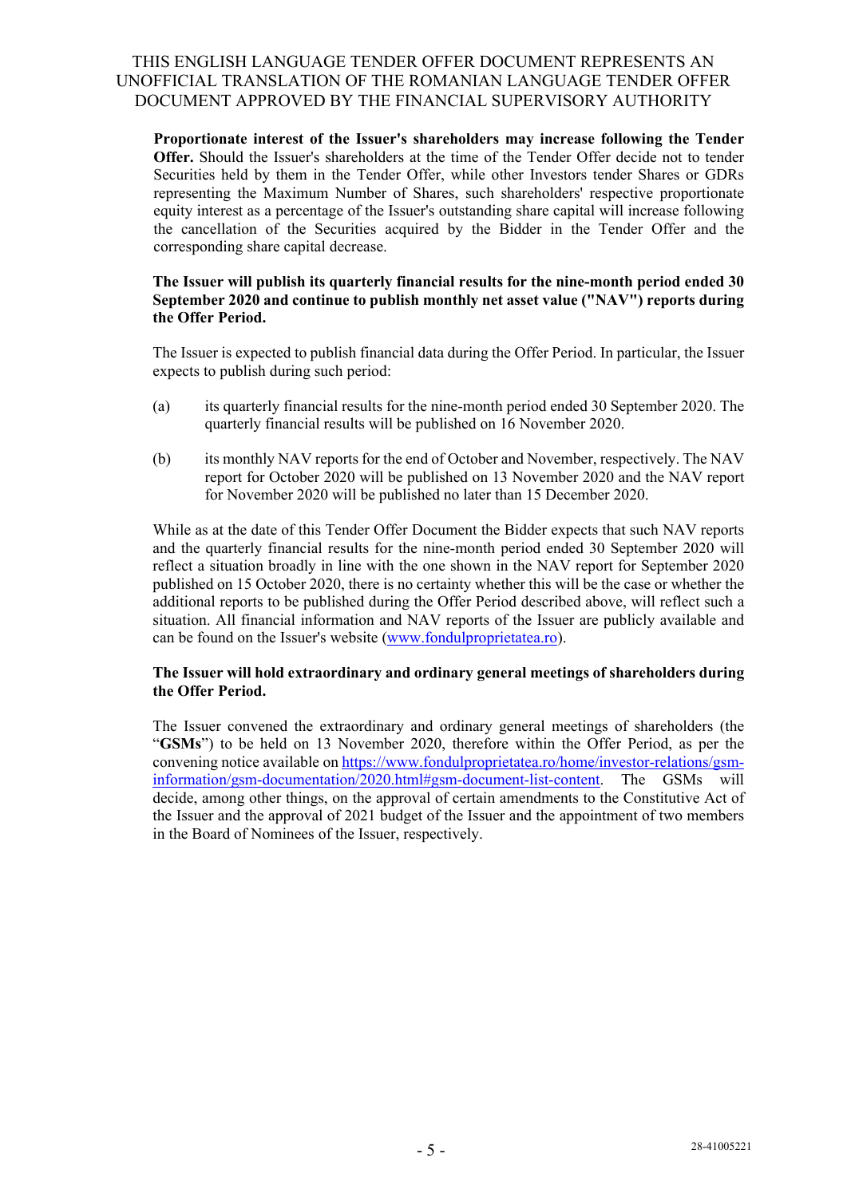**Proportionate interest of the Issuer's shareholders may increase following the Tender Offer.** Should the Issuer's shareholders at the time of the Tender Offer decide not to tender Securities held by them in the Tender Offer, while other Investors tender Shares or GDRs representing the Maximum Number of Shares, such shareholders' respective proportionate equity interest as a percentage of the Issuer's outstanding share capital will increase following the cancellation of the Securities acquired by the Bidder in the Tender Offer and the corresponding share capital decrease.

#### **The Issuer will publish its quarterly financial results for the nine-month period ended 30 September 2020 and continue to publish monthly net asset value ("NAV") reports during the Offer Period.**

The Issuer is expected to publish financial data during the Offer Period. In particular, the Issuer expects to publish during such period:

- (a) its quarterly financial results for the nine-month period ended 30 September 2020. The quarterly financial results will be published on 16 November 2020.
- (b) its monthly NAV reports for the end of October and November, respectively. The NAV report for October 2020 will be published on 13 November 2020 and the NAV report for November 2020 will be published no later than 15 December 2020.

While as at the date of this Tender Offer Document the Bidder expects that such NAV reports and the quarterly financial results for the nine-month period ended 30 September 2020 will reflect a situation broadly in line with the one shown in the NAV report for September 2020 published on 15 October 2020, there is no certainty whether this will be the case or whether the additional reports to be published during the Offer Period described above, will reflect such a situation. All financial information and NAV reports of the Issuer are publicly available and can be found on the Issuer's website (www.fondulproprietatea.ro).

#### **The Issuer will hold extraordinary and ordinary general meetings of shareholders during the Offer Period.**

The Issuer convened the extraordinary and ordinary general meetings of shareholders (the "**GSMs**") to be held on 13 November 2020, therefore within the Offer Period, as per the convening notice available on https://www.fondulproprietatea.ro/home/investor-relations/gsminformation/gsm-documentation/2020.html#gsm-document-list-content. The GSMs will decide, among other things, on the approval of certain amendments to the Constitutive Act of the Issuer and the approval of 2021 budget of the Issuer and the appointment of two members in the Board of Nominees of the Issuer, respectively.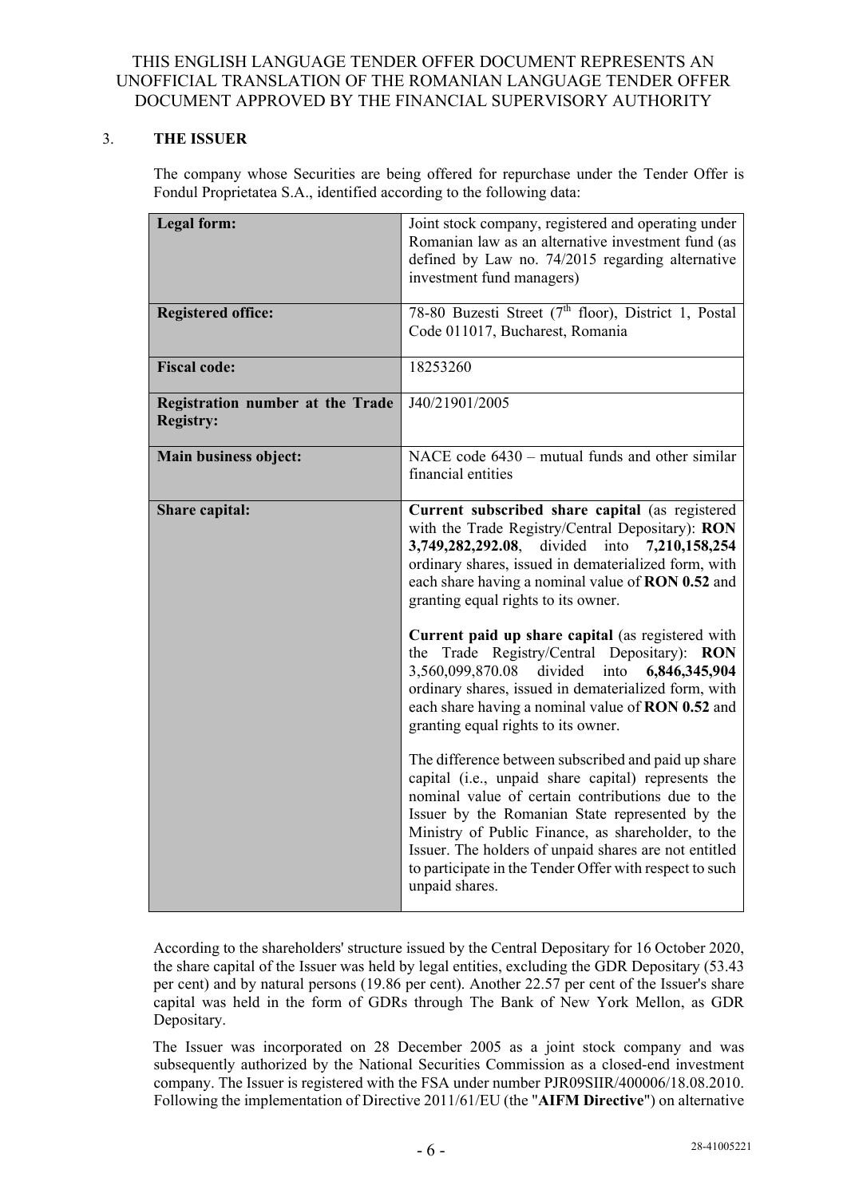### 3. **THE ISSUER**

The company whose Securities are being offered for repurchase under the Tender Offer is Fondul Proprietatea S.A., identified according to the following data:

| Legal form:                             | Joint stock company, registered and operating under              |  |
|-----------------------------------------|------------------------------------------------------------------|--|
|                                         | Romanian law as an alternative investment fund (as               |  |
|                                         | defined by Law no. 74/2015 regarding alternative                 |  |
|                                         | investment fund managers)                                        |  |
|                                         |                                                                  |  |
| <b>Registered office:</b>               | 78-80 Buzesti Street (7 <sup>th</sup> floor), District 1, Postal |  |
|                                         | Code 011017, Bucharest, Romania                                  |  |
|                                         |                                                                  |  |
| <b>Fiscal code:</b>                     | 18253260                                                         |  |
|                                         |                                                                  |  |
| <b>Registration number at the Trade</b> | J40/21901/2005                                                   |  |
| <b>Registry:</b>                        |                                                                  |  |
|                                         |                                                                  |  |
| Main business object:                   | NACE code 6430 – mutual funds and other similar                  |  |
|                                         | financial entities                                               |  |
|                                         |                                                                  |  |
| Share capital:                          | Current subscribed share capital (as registered                  |  |
|                                         | with the Trade Registry/Central Depositary): RON                 |  |
|                                         | 3,749,282,292.08, divided into 7,210,158,254                     |  |
|                                         | ordinary shares, issued in dematerialized form, with             |  |
|                                         | each share having a nominal value of RON 0.52 and                |  |
|                                         | granting equal rights to its owner.                              |  |
|                                         | Current paid up share capital (as registered with                |  |
|                                         | the Trade Registry/Central Depositary): RON                      |  |
|                                         | 3,560,099,870.08 divided<br>into 6,846,345,904                   |  |
|                                         | ordinary shares, issued in dematerialized form, with             |  |
|                                         | each share having a nominal value of RON 0.52 and                |  |
|                                         | granting equal rights to its owner.                              |  |
|                                         |                                                                  |  |
|                                         | The difference between subscribed and paid up share              |  |
|                                         | capital (i.e., unpaid share capital) represents the              |  |
|                                         | nominal value of certain contributions due to the                |  |
|                                         | Issuer by the Romanian State represented by the                  |  |
|                                         | Ministry of Public Finance, as shareholder, to the               |  |
|                                         | Issuer. The holders of unpaid shares are not entitled            |  |
|                                         | to participate in the Tender Offer with respect to such          |  |
|                                         | unpaid shares.                                                   |  |
|                                         |                                                                  |  |

According to the shareholders' structure issued by the Central Depositary for 16 October 2020, the share capital of the Issuer was held by legal entities, excluding the GDR Depositary (53.43 per cent) and by natural persons (19.86 per cent). Another 22.57 per cent of the Issuer's share capital was held in the form of GDRs through The Bank of New York Mellon, as GDR Depositary.

The Issuer was incorporated on 28 December 2005 as a joint stock company and was subsequently authorized by the National Securities Commission as a closed-end investment company. The Issuer is registered with the FSA under number PJR09SIIR/400006/18.08.2010. Following the implementation of Directive 2011/61/EU (the "**AIFM Directive**") on alternative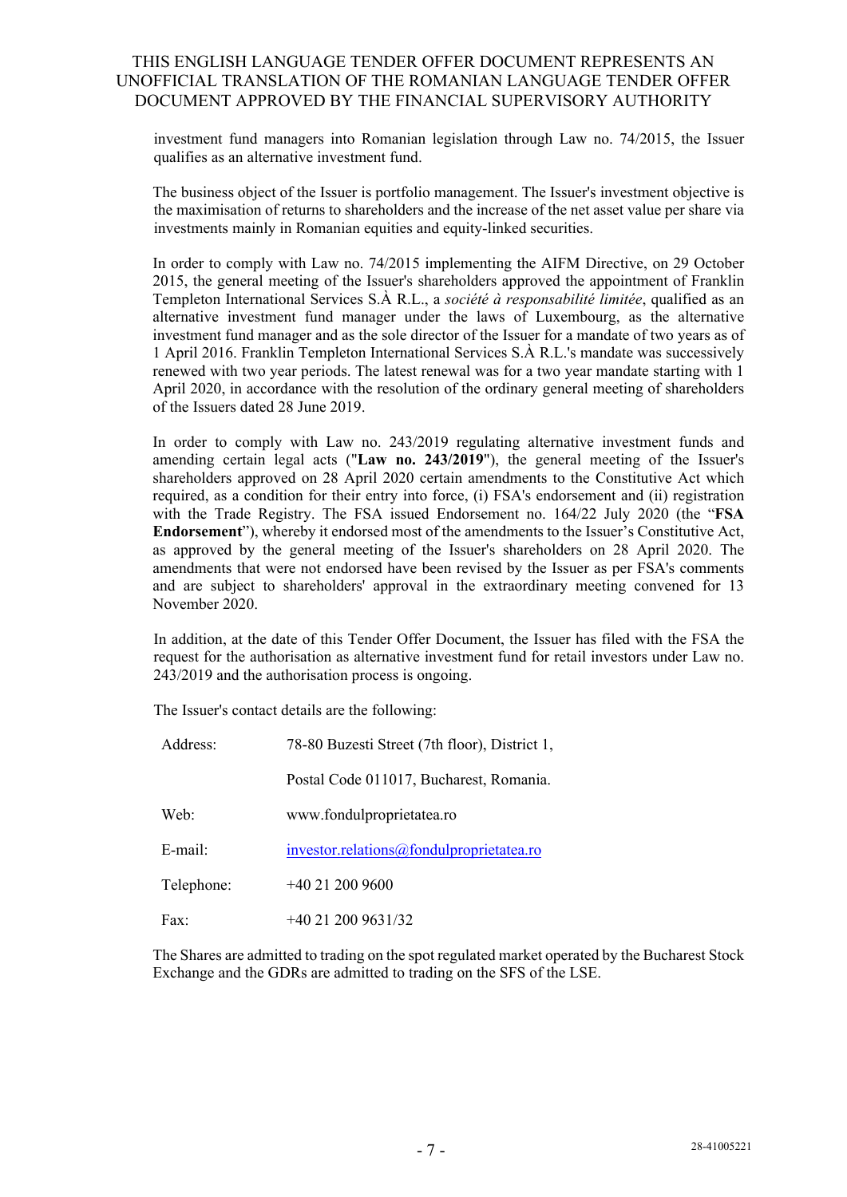investment fund managers into Romanian legislation through Law no. 74/2015, the Issuer qualifies as an alternative investment fund.

The business object of the Issuer is portfolio management. The Issuer's investment objective is the maximisation of returns to shareholders and the increase of the net asset value per share via investments mainly in Romanian equities and equity-linked securities.

In order to comply with Law no. 74/2015 implementing the AIFM Directive, on 29 October 2015, the general meeting of the Issuer's shareholders approved the appointment of Franklin Templeton International Services S.À R.L., a *société à responsabilité limitée*, qualified as an alternative investment fund manager under the laws of Luxembourg, as the alternative investment fund manager and as the sole director of the Issuer for a mandate of two years as of 1 April 2016. Franklin Templeton International Services S.À R.L.'s mandate was successively renewed with two year periods. The latest renewal was for a two year mandate starting with 1 April 2020, in accordance with the resolution of the ordinary general meeting of shareholders of the Issuers dated 28 June 2019.

In order to comply with Law no. 243/2019 regulating alternative investment funds and amending certain legal acts ("**Law no. 243/2019**"), the general meeting of the Issuer's shareholders approved on 28 April 2020 certain amendments to the Constitutive Act which required, as a condition for their entry into force, (i) FSA's endorsement and (ii) registration with the Trade Registry. The FSA issued Endorsement no. 164/22 July 2020 (the "**FSA Endorsement**"), whereby it endorsed most of the amendments to the Issuer's Constitutive Act, as approved by the general meeting of the Issuer's shareholders on 28 April 2020. The amendments that were not endorsed have been revised by the Issuer as per FSA's comments and are subject to shareholders' approval in the extraordinary meeting convened for 13 November 2020.

In addition, at the date of this Tender Offer Document, the Issuer has filed with the FSA the request for the authorisation as alternative investment fund for retail investors under Law no. 243/2019 and the authorisation process is ongoing.

The Issuer's contact details are the following:

| Address:   | 78-80 Buzesti Street (7th floor), District 1, |  |  |
|------------|-----------------------------------------------|--|--|
|            | Postal Code 011017, Bucharest, Romania.       |  |  |
| Web:       | www.fondulproprietatea.ro                     |  |  |
| $E$ -mail: | investor.relations@fondulproprietatea.ro      |  |  |
| Telephone: | $+40212009600$                                |  |  |
| Fax:       | $+40$ 21 200 9631/32                          |  |  |

The Shares are admitted to trading on the spot regulated market operated by the Bucharest Stock Exchange and the GDRs are admitted to trading on the SFS of the LSE.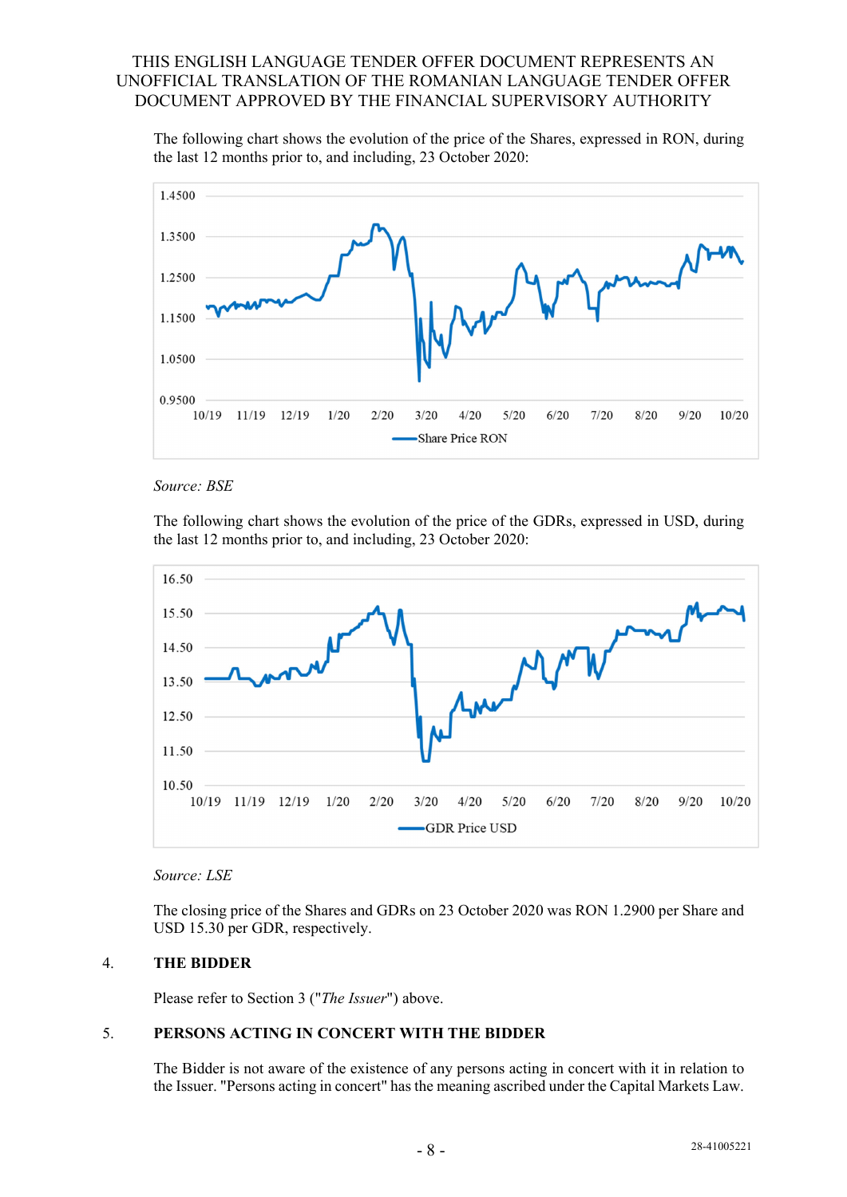The following chart shows the evolution of the price of the Shares, expressed in RON, during the last 12 months prior to, and including, 23 October 2020:





The following chart shows the evolution of the price of the GDRs, expressed in USD, during the last 12 months prior to, and including, 23 October 2020:





The closing price of the Shares and GDRs on 23 October 2020 was RON 1.2900 per Share and USD 15.30 per GDR, respectively.

### 4. **THE BIDDER**

Please refer to Section 3 ("*The Issuer*") above.

### 5. **PERSONS ACTING IN CONCERT WITH THE BIDDER**

The Bidder is not aware of the existence of any persons acting in concert with it in relation to the Issuer. "Persons acting in concert" has the meaning ascribed under the Capital Markets Law.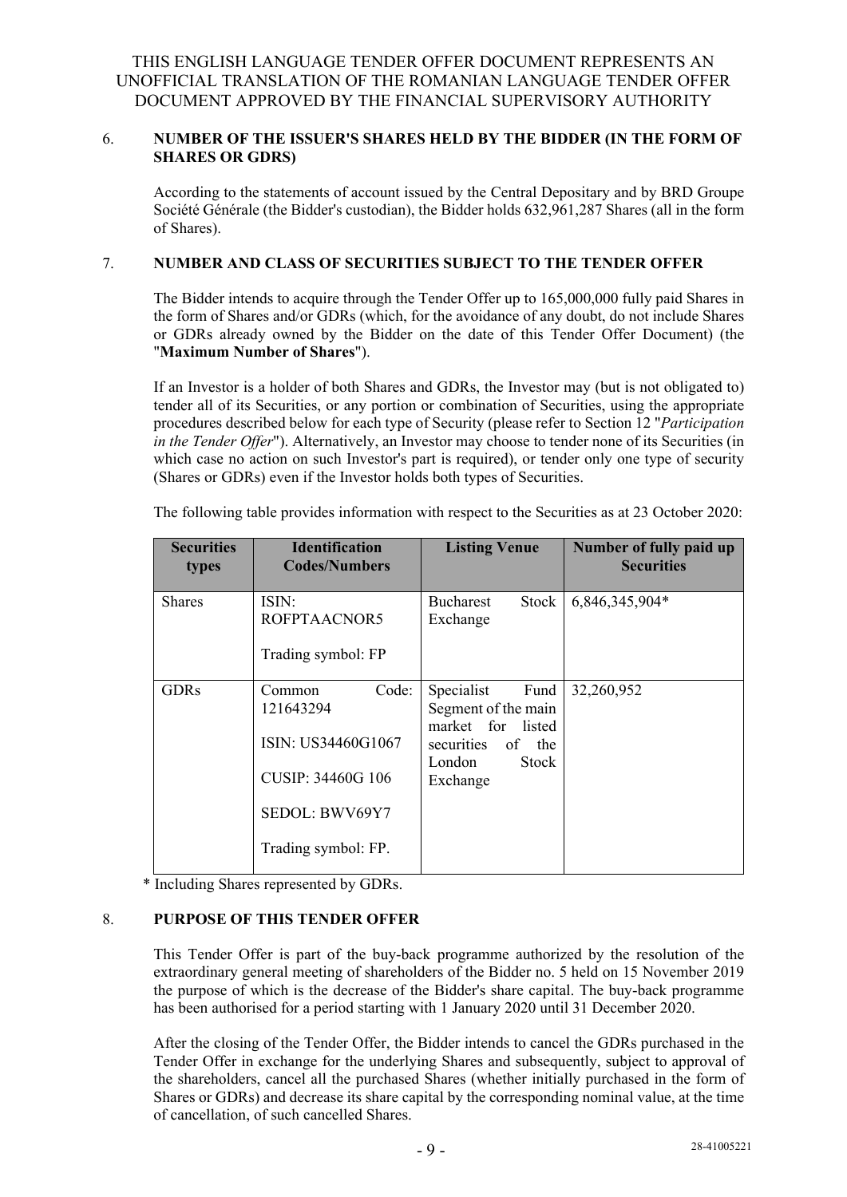### 6. **NUMBER OF THE ISSUER'S SHARES HELD BY THE BIDDER (IN THE FORM OF SHARES OR GDRS)**

According to the statements of account issued by the Central Depositary and by BRD Groupe Société Générale (the Bidder's custodian), the Bidder holds 632,961,287 Shares (all in the form of Shares).

### 7. **NUMBER AND CLASS OF SECURITIES SUBJECT TO THE TENDER OFFER**

The Bidder intends to acquire through the Tender Offer up to 165,000,000 fully paid Shares in the form of Shares and/or GDRs (which, for the avoidance of any doubt, do not include Shares or GDRs already owned by the Bidder on the date of this Tender Offer Document) (the "**Maximum Number of Shares**").

If an Investor is a holder of both Shares and GDRs, the Investor may (but is not obligated to) tender all of its Securities, or any portion or combination of Securities, using the appropriate procedures described below for each type of Security (please refer to Section 12 "*Participation in the Tender Offer*"). Alternatively, an Investor may choose to tender none of its Securities (in which case no action on such Investor's part is required), or tender only one type of security (Shares or GDRs) even if the Investor holds both types of Securities.

| <b>Securities</b><br>types | <b>Identification</b><br><b>Codes/Numbers</b>                                                                    | <b>Listing Venue</b>                                                                                                  | Number of fully paid up<br><b>Securities</b> |
|----------------------------|------------------------------------------------------------------------------------------------------------------|-----------------------------------------------------------------------------------------------------------------------|----------------------------------------------|
| <b>Shares</b>              | ISIN:<br>ROFPTAACNOR5<br>Trading symbol: FP                                                                      | <b>Bucharest</b><br>Stock<br>Exchange                                                                                 | 6,846,345,904*                               |
| <b>GDRs</b>                | Code:<br>Common<br>121643294<br>ISIN: US34460G1067<br>CUSIP: 34460G 106<br>SEDOL: BWV69Y7<br>Trading symbol: FP. | Specialist<br>Fund<br>Segment of the main<br>market for listed<br>securities<br>of the<br>London<br>Stock<br>Exchange | 32,260,952                                   |

The following table provides information with respect to the Securities as at 23 October 2020:

\* Including Shares represented by GDRs.

### 8. **PURPOSE OF THIS TENDER OFFER**

This Tender Offer is part of the buy-back programme authorized by the resolution of the extraordinary general meeting of shareholders of the Bidder no. 5 held on 15 November 2019 the purpose of which is the decrease of the Bidder's share capital. The buy-back programme has been authorised for a period starting with 1 January 2020 until 31 December 2020.

After the closing of the Tender Offer, the Bidder intends to cancel the GDRs purchased in the Tender Offer in exchange for the underlying Shares and subsequently, subject to approval of the shareholders, cancel all the purchased Shares (whether initially purchased in the form of Shares or GDRs) and decrease its share capital by the corresponding nominal value, at the time of cancellation, of such cancelled Shares.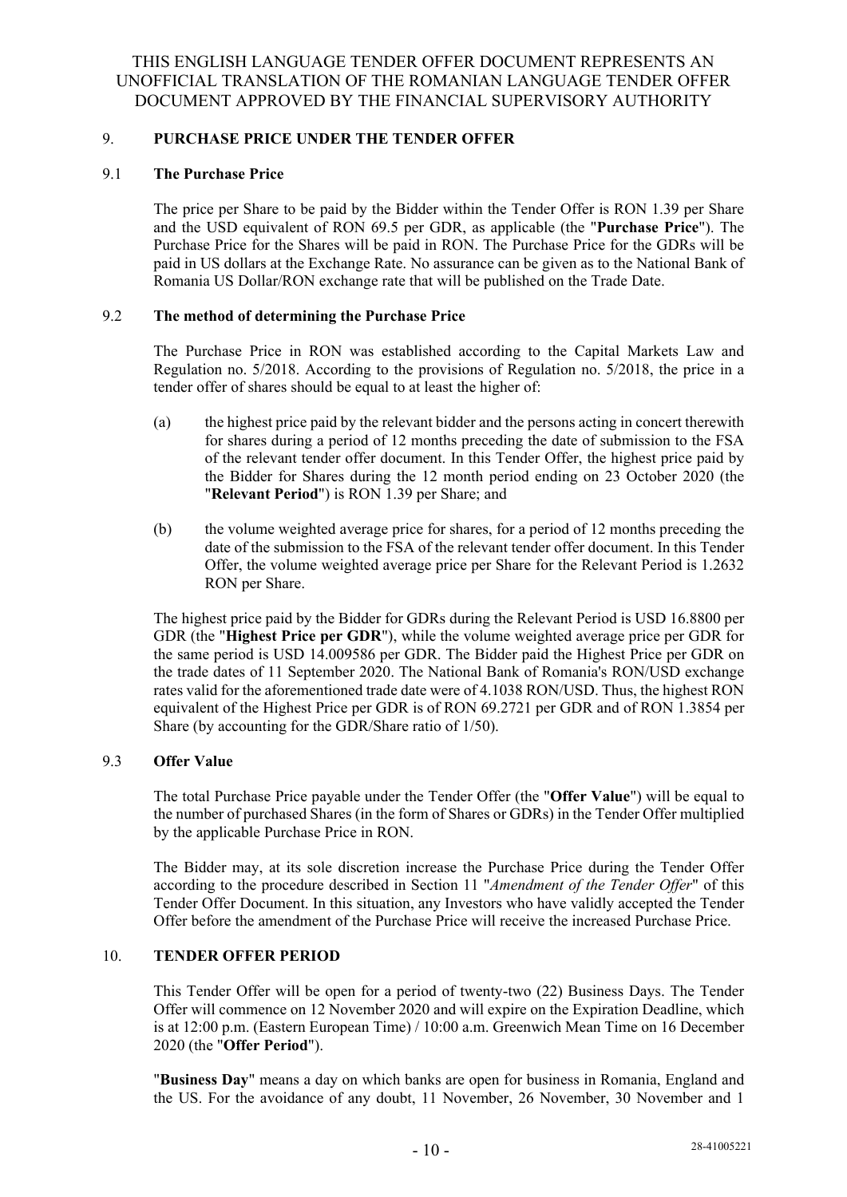### 9. **PURCHASE PRICE UNDER THE TENDER OFFER**

#### 9.1 **The Purchase Price**

The price per Share to be paid by the Bidder within the Tender Offer is RON 1.39 per Share and the USD equivalent of RON 69.5 per GDR, as applicable (the "**Purchase Price**"). The Purchase Price for the Shares will be paid in RON. The Purchase Price for the GDRs will be paid in US dollars at the Exchange Rate. No assurance can be given as to the National Bank of Romania US Dollar/RON exchange rate that will be published on the Trade Date.

### 9.2 **The method of determining the Purchase Price**

The Purchase Price in RON was established according to the Capital Markets Law and Regulation no. 5/2018. According to the provisions of Regulation no. 5/2018, the price in a tender offer of shares should be equal to at least the higher of:

- (a) the highest price paid by the relevant bidder and the persons acting in concert therewith for shares during a period of 12 months preceding the date of submission to the FSA of the relevant tender offer document. In this Tender Offer, the highest price paid by the Bidder for Shares during the 12 month period ending on 23 October 2020 (the "**Relevant Period**") is RON 1.39 per Share; and
- (b) the volume weighted average price for shares, for a period of 12 months preceding the date of the submission to the FSA of the relevant tender offer document. In this Tender Offer, the volume weighted average price per Share for the Relevant Period is 1.2632 RON per Share.

The highest price paid by the Bidder for GDRs during the Relevant Period is USD 16.8800 per GDR (the "**Highest Price per GDR**"), while the volume weighted average price per GDR for the same period is USD 14.009586 per GDR. The Bidder paid the Highest Price per GDR on the trade dates of 11 September 2020. The National Bank of Romania's RON/USD exchange rates valid for the aforementioned trade date were of 4.1038 RON/USD. Thus, the highest RON equivalent of the Highest Price per GDR is of RON 69.2721 per GDR and of RON 1.3854 per Share (by accounting for the GDR/Share ratio of 1/50).

#### 9.3 **Offer Value**

The total Purchase Price payable under the Tender Offer (the "**Offer Value**") will be equal to the number of purchased Shares (in the form of Shares or GDRs) in the Tender Offer multiplied by the applicable Purchase Price in RON.

The Bidder may, at its sole discretion increase the Purchase Price during the Tender Offer according to the procedure described in Section 11 "*Amendment of the Tender Offer*" of this Tender Offer Document. In this situation, any Investors who have validly accepted the Tender Offer before the amendment of the Purchase Price will receive the increased Purchase Price.

### 10. **TENDER OFFER PERIOD**

This Tender Offer will be open for a period of twenty-two (22) Business Days. The Tender Offer will commence on 12 November 2020 and will expire on the Expiration Deadline, which is at 12:00 p.m. (Eastern European Time) / 10:00 a.m. Greenwich Mean Time on 16 December 2020 (the "**Offer Period**").

"**Business Day**" means a day on which banks are open for business in Romania, England and the US. For the avoidance of any doubt, 11 November, 26 November, 30 November and 1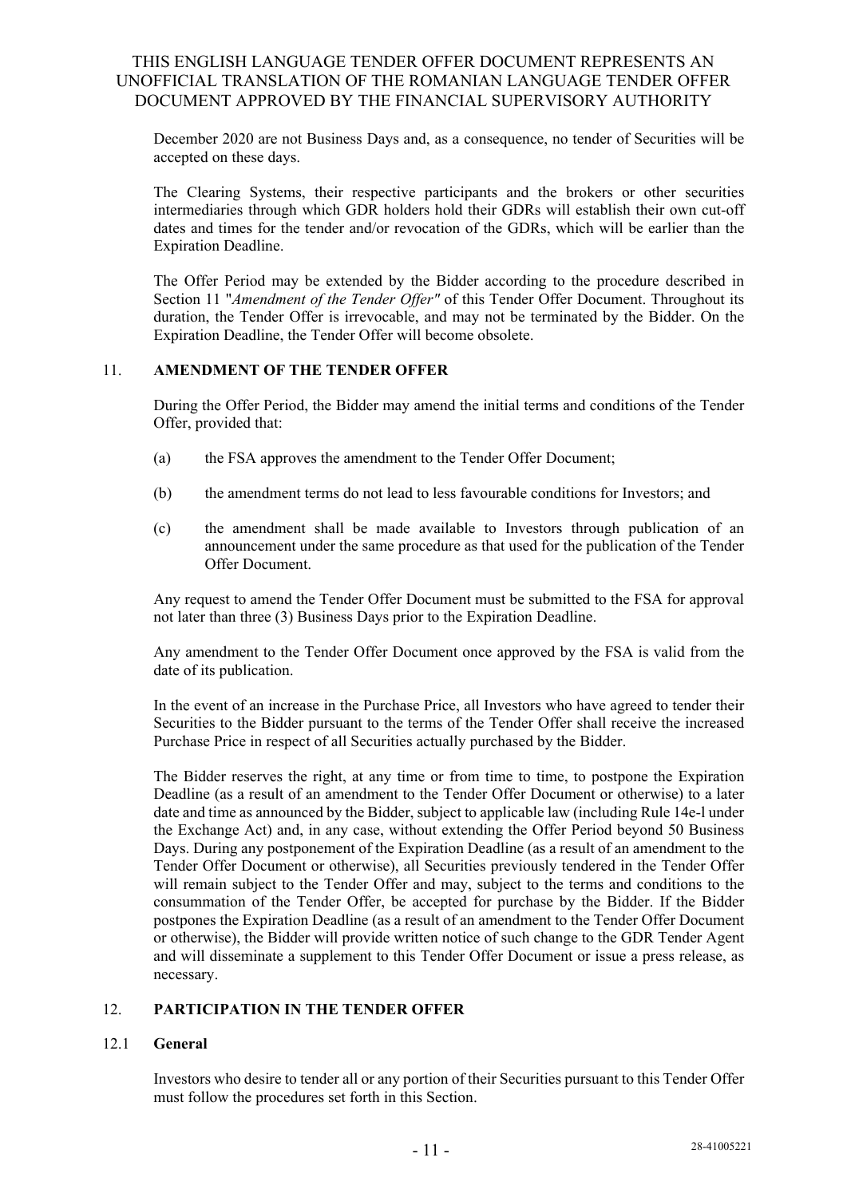December 2020 are not Business Days and, as a consequence, no tender of Securities will be accepted on these days.

The Clearing Systems, their respective participants and the brokers or other securities intermediaries through which GDR holders hold their GDRs will establish their own cut-off dates and times for the tender and/or revocation of the GDRs, which will be earlier than the Expiration Deadline.

The Offer Period may be extended by the Bidder according to the procedure described in Section 11 "*Amendment of the Tender Offer"* of this Tender Offer Document. Throughout its duration, the Tender Offer is irrevocable, and may not be terminated by the Bidder. On the Expiration Deadline, the Tender Offer will become obsolete.

#### 11. **AMENDMENT OF THE TENDER OFFER**

During the Offer Period, the Bidder may amend the initial terms and conditions of the Tender Offer, provided that:

- (a) the FSA approves the amendment to the Tender Offer Document;
- (b) the amendment terms do not lead to less favourable conditions for Investors; and
- (c) the amendment shall be made available to Investors through publication of an announcement under the same procedure as that used for the publication of the Tender Offer Document.

Any request to amend the Tender Offer Document must be submitted to the FSA for approval not later than three (3) Business Days prior to the Expiration Deadline.

Any amendment to the Tender Offer Document once approved by the FSA is valid from the date of its publication.

In the event of an increase in the Purchase Price, all Investors who have agreed to tender their Securities to the Bidder pursuant to the terms of the Tender Offer shall receive the increased Purchase Price in respect of all Securities actually purchased by the Bidder.

The Bidder reserves the right, at any time or from time to time, to postpone the Expiration Deadline (as a result of an amendment to the Tender Offer Document or otherwise) to a later date and time as announced by the Bidder, subject to applicable law (including Rule 14e-l under the Exchange Act) and, in any case, without extending the Offer Period beyond 50 Business Days. During any postponement of the Expiration Deadline (as a result of an amendment to the Tender Offer Document or otherwise), all Securities previously tendered in the Tender Offer will remain subject to the Tender Offer and may, subject to the terms and conditions to the consummation of the Tender Offer, be accepted for purchase by the Bidder. If the Bidder postpones the Expiration Deadline (as a result of an amendment to the Tender Offer Document or otherwise), the Bidder will provide written notice of such change to the GDR Tender Agent and will disseminate a supplement to this Tender Offer Document or issue a press release, as necessary.

### 12. **PARTICIPATION IN THE TENDER OFFER**

#### 12.1 **General**

Investors who desire to tender all or any portion of their Securities pursuant to this Tender Offer must follow the procedures set forth in this Section.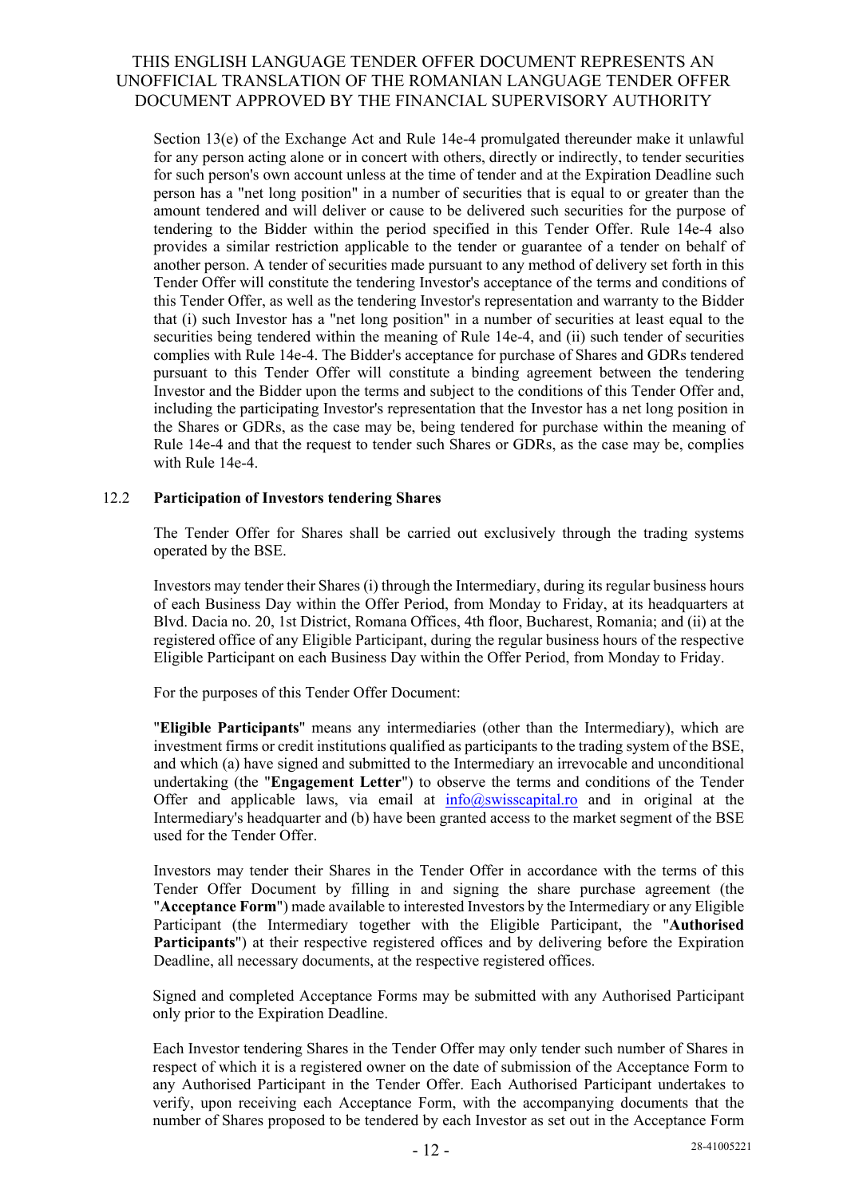Section 13(e) of the Exchange Act and Rule 14e-4 promulgated thereunder make it unlawful for any person acting alone or in concert with others, directly or indirectly, to tender securities for such person's own account unless at the time of tender and at the Expiration Deadline such person has a "net long position" in a number of securities that is equal to or greater than the amount tendered and will deliver or cause to be delivered such securities for the purpose of tendering to the Bidder within the period specified in this Tender Offer. Rule 14e-4 also provides a similar restriction applicable to the tender or guarantee of a tender on behalf of another person. A tender of securities made pursuant to any method of delivery set forth in this Tender Offer will constitute the tendering Investor's acceptance of the terms and conditions of this Tender Offer, as well as the tendering Investor's representation and warranty to the Bidder that (i) such Investor has a "net long position" in a number of securities at least equal to the securities being tendered within the meaning of Rule 14e-4, and (ii) such tender of securities complies with Rule 14e-4. The Bidder's acceptance for purchase of Shares and GDRs tendered pursuant to this Tender Offer will constitute a binding agreement between the tendering Investor and the Bidder upon the terms and subject to the conditions of this Tender Offer and, including the participating Investor's representation that the Investor has a net long position in the Shares or GDRs, as the case may be, being tendered for purchase within the meaning of Rule 14e-4 and that the request to tender such Shares or GDRs, as the case may be, complies with Rule 14e-4.

### 12.2 **Participation of Investors tendering Shares**

The Tender Offer for Shares shall be carried out exclusively through the trading systems operated by the BSE.

Investors may tender their Shares (i) through the Intermediary, during its regular business hours of each Business Day within the Offer Period, from Monday to Friday, at its headquarters at Blvd. Dacia no. 20, 1st District, Romana Offices, 4th floor, Bucharest, Romania; and (ii) at the registered office of any Eligible Participant, during the regular business hours of the respective Eligible Participant on each Business Day within the Offer Period, from Monday to Friday.

For the purposes of this Tender Offer Document:

"**Eligible Participants**" means any intermediaries (other than the Intermediary), which are investment firms or credit institutions qualified as participants to the trading system of the BSE, and which (a) have signed and submitted to the Intermediary an irrevocable and unconditional undertaking (the "**Engagement Letter**") to observe the terms and conditions of the Tender Offer and applicable laws, via email at  $info@swisscapital-ro$  and in original at the Intermediary's headquarter and (b) have been granted access to the market segment of the BSE used for the Tender Offer.

Investors may tender their Shares in the Tender Offer in accordance with the terms of this Tender Offer Document by filling in and signing the share purchase agreement (the "**Acceptance Form**") made available to interested Investors by the Intermediary or any Eligible Participant (the Intermediary together with the Eligible Participant, the "**Authorised Participants**") at their respective registered offices and by delivering before the Expiration Deadline, all necessary documents, at the respective registered offices.

Signed and completed Acceptance Forms may be submitted with any Authorised Participant only prior to the Expiration Deadline.

Each Investor tendering Shares in the Tender Offer may only tender such number of Shares in respect of which it is a registered owner on the date of submission of the Acceptance Form to any Authorised Participant in the Tender Offer. Each Authorised Participant undertakes to verify, upon receiving each Acceptance Form, with the accompanying documents that the number of Shares proposed to be tendered by each Investor as set out in the Acceptance Form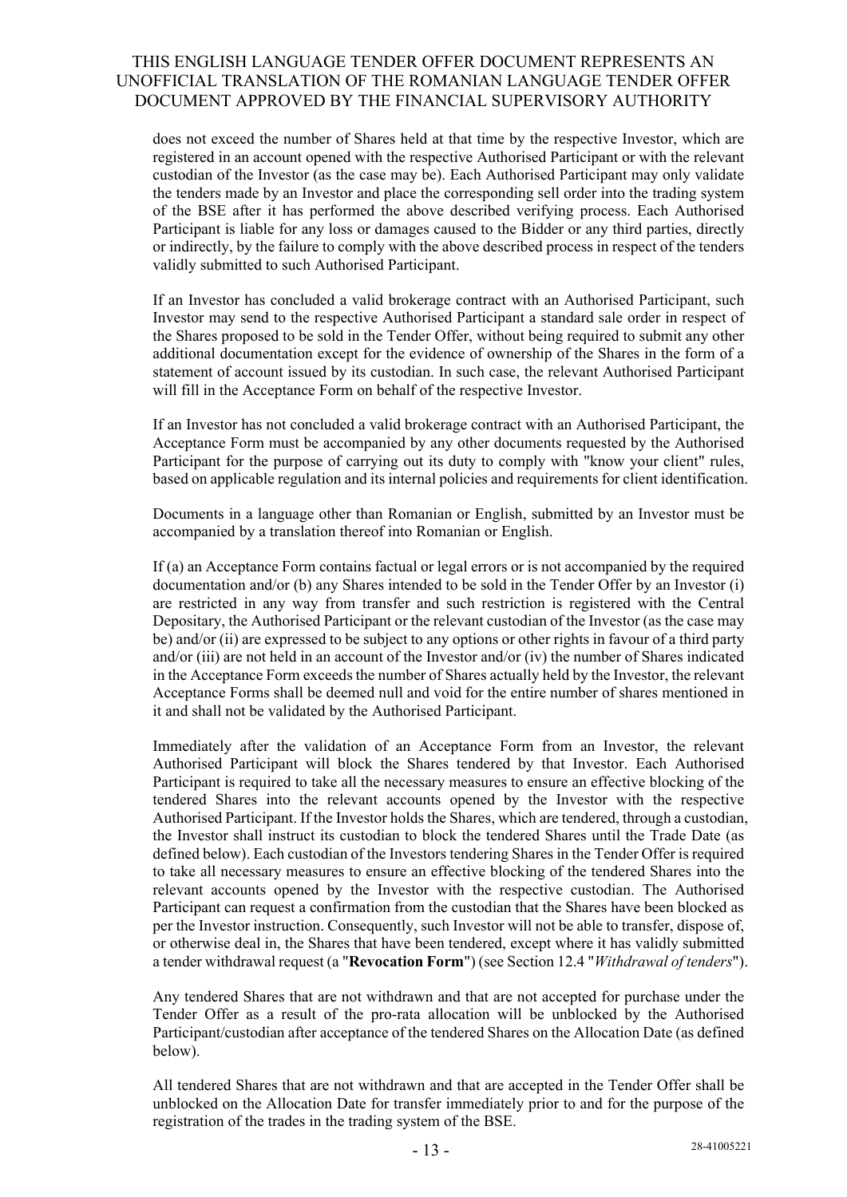does not exceed the number of Shares held at that time by the respective Investor, which are registered in an account opened with the respective Authorised Participant or with the relevant custodian of the Investor (as the case may be). Each Authorised Participant may only validate the tenders made by an Investor and place the corresponding sell order into the trading system of the BSE after it has performed the above described verifying process. Each Authorised Participant is liable for any loss or damages caused to the Bidder or any third parties, directly or indirectly, by the failure to comply with the above described process in respect of the tenders validly submitted to such Authorised Participant.

If an Investor has concluded a valid brokerage contract with an Authorised Participant, such Investor may send to the respective Authorised Participant a standard sale order in respect of the Shares proposed to be sold in the Tender Offer, without being required to submit any other additional documentation except for the evidence of ownership of the Shares in the form of a statement of account issued by its custodian. In such case, the relevant Authorised Participant will fill in the Acceptance Form on behalf of the respective Investor.

If an Investor has not concluded a valid brokerage contract with an Authorised Participant, the Acceptance Form must be accompanied by any other documents requested by the Authorised Participant for the purpose of carrying out its duty to comply with "know your client" rules, based on applicable regulation and its internal policies and requirements for client identification.

Documents in a language other than Romanian or English, submitted by an Investor must be accompanied by a translation thereof into Romanian or English.

If (a) an Acceptance Form contains factual or legal errors or is not accompanied by the required documentation and/or (b) any Shares intended to be sold in the Tender Offer by an Investor (i) are restricted in any way from transfer and such restriction is registered with the Central Depositary, the Authorised Participant or the relevant custodian of the Investor (as the case may be) and/or (ii) are expressed to be subject to any options or other rights in favour of a third party and/or (iii) are not held in an account of the Investor and/or (iv) the number of Shares indicated in the Acceptance Form exceeds the number of Shares actually held by the Investor, the relevant Acceptance Forms shall be deemed null and void for the entire number of shares mentioned in it and shall not be validated by the Authorised Participant.

Immediately after the validation of an Acceptance Form from an Investor, the relevant Authorised Participant will block the Shares tendered by that Investor. Each Authorised Participant is required to take all the necessary measures to ensure an effective blocking of the tendered Shares into the relevant accounts opened by the Investor with the respective Authorised Participant. If the Investor holds the Shares, which are tendered, through a custodian, the Investor shall instruct its custodian to block the tendered Shares until the Trade Date (as defined below). Each custodian of the Investors tendering Shares in the Tender Offer is required to take all necessary measures to ensure an effective blocking of the tendered Shares into the relevant accounts opened by the Investor with the respective custodian. The Authorised Participant can request a confirmation from the custodian that the Shares have been blocked as per the Investor instruction. Consequently, such Investor will not be able to transfer, dispose of, or otherwise deal in, the Shares that have been tendered, except where it has validly submitted a tender withdrawal request (a "**Revocation Form**") (see Section 12.4 "*Withdrawal of tenders*").

Any tendered Shares that are not withdrawn and that are not accepted for purchase under the Tender Offer as a result of the pro-rata allocation will be unblocked by the Authorised Participant/custodian after acceptance of the tendered Shares on the Allocation Date (as defined below).

All tendered Shares that are not withdrawn and that are accepted in the Tender Offer shall be unblocked on the Allocation Date for transfer immediately prior to and for the purpose of the registration of the trades in the trading system of the BSE.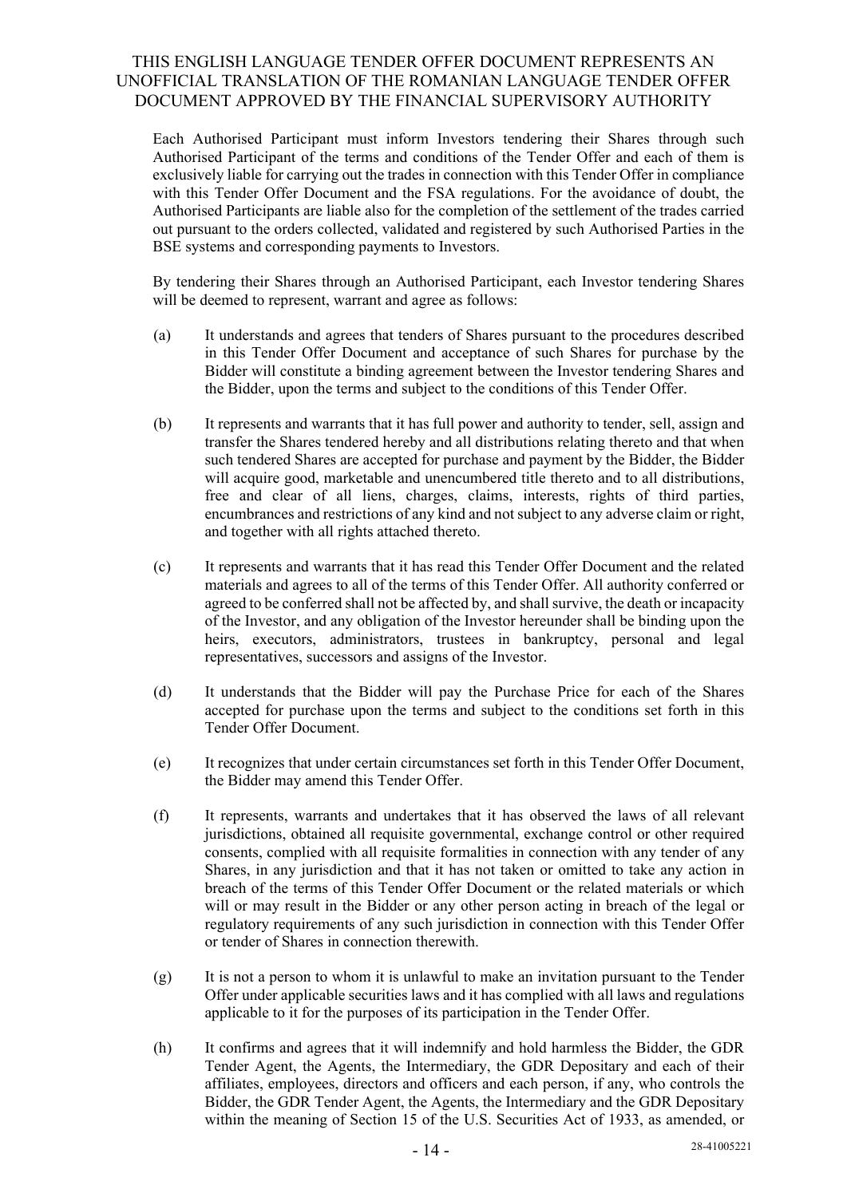Each Authorised Participant must inform Investors tendering their Shares through such Authorised Participant of the terms and conditions of the Tender Offer and each of them is exclusively liable for carrying out the trades in connection with this Tender Offer in compliance with this Tender Offer Document and the FSA regulations. For the avoidance of doubt, the Authorised Participants are liable also for the completion of the settlement of the trades carried out pursuant to the orders collected, validated and registered by such Authorised Parties in the BSE systems and corresponding payments to Investors.

By tendering their Shares through an Authorised Participant, each Investor tendering Shares will be deemed to represent, warrant and agree as follows:

- (a) It understands and agrees that tenders of Shares pursuant to the procedures described in this Tender Offer Document and acceptance of such Shares for purchase by the Bidder will constitute a binding agreement between the Investor tendering Shares and the Bidder, upon the terms and subject to the conditions of this Tender Offer.
- (b) It represents and warrants that it has full power and authority to tender, sell, assign and transfer the Shares tendered hereby and all distributions relating thereto and that when such tendered Shares are accepted for purchase and payment by the Bidder, the Bidder will acquire good, marketable and unencumbered title thereto and to all distributions, free and clear of all liens, charges, claims, interests, rights of third parties, encumbrances and restrictions of any kind and not subject to any adverse claim or right, and together with all rights attached thereto.
- (c) It represents and warrants that it has read this Tender Offer Document and the related materials and agrees to all of the terms of this Tender Offer. All authority conferred or agreed to be conferred shall not be affected by, and shall survive, the death or incapacity of the Investor, and any obligation of the Investor hereunder shall be binding upon the heirs, executors, administrators, trustees in bankruptcy, personal and legal representatives, successors and assigns of the Investor.
- (d) It understands that the Bidder will pay the Purchase Price for each of the Shares accepted for purchase upon the terms and subject to the conditions set forth in this Tender Offer Document.
- (e) It recognizes that under certain circumstances set forth in this Tender Offer Document, the Bidder may amend this Tender Offer.
- (f) It represents, warrants and undertakes that it has observed the laws of all relevant jurisdictions, obtained all requisite governmental, exchange control or other required consents, complied with all requisite formalities in connection with any tender of any Shares, in any jurisdiction and that it has not taken or omitted to take any action in breach of the terms of this Tender Offer Document or the related materials or which will or may result in the Bidder or any other person acting in breach of the legal or regulatory requirements of any such jurisdiction in connection with this Tender Offer or tender of Shares in connection therewith.
- $(g)$  It is not a person to whom it is unlawful to make an invitation pursuant to the Tender Offer under applicable securities laws and it has complied with all laws and regulations applicable to it for the purposes of its participation in the Tender Offer.
- (h) It confirms and agrees that it will indemnify and hold harmless the Bidder, the GDR Tender Agent, the Agents, the Intermediary, the GDR Depositary and each of their affiliates, employees, directors and officers and each person, if any, who controls the Bidder, the GDR Tender Agent, the Agents, the Intermediary and the GDR Depositary within the meaning of Section 15 of the U.S. Securities Act of 1933, as amended, or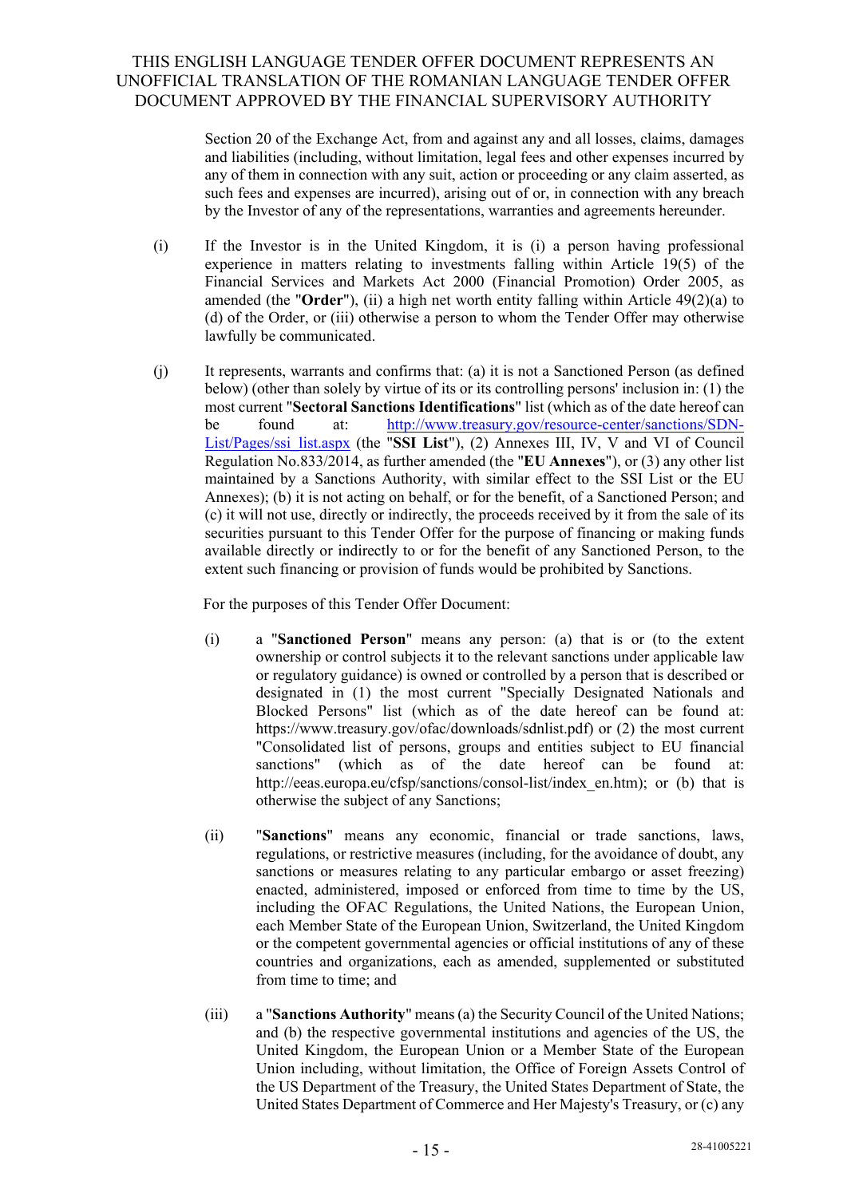Section 20 of the Exchange Act, from and against any and all losses, claims, damages and liabilities (including, without limitation, legal fees and other expenses incurred by any of them in connection with any suit, action or proceeding or any claim asserted, as such fees and expenses are incurred), arising out of or, in connection with any breach by the Investor of any of the representations, warranties and agreements hereunder.

- (i) If the Investor is in the United Kingdom, it is (i) a person having professional experience in matters relating to investments falling within Article 19(5) of the Financial Services and Markets Act 2000 (Financial Promotion) Order 2005, as amended (the "**Order**"), (ii) a high net worth entity falling within Article 49(2)(a) to (d) of the Order, or (iii) otherwise a person to whom the Tender Offer may otherwise lawfully be communicated.
- (j) It represents, warrants and confirms that: (a) it is not a Sanctioned Person (as defined below) (other than solely by virtue of its or its controlling persons' inclusion in: (1) the most current "**Sectoral Sanctions Identifications**" list (which as of the date hereof can be found at: http://www.treasury.gov/resource-center/sanctions/SDN-List/Pages/ssi\_list.aspx (the "**SSI List**"), (2) Annexes III, IV, V and VI of Council Regulation No.833/2014, as further amended (the "**EU Annexes**"), or (3) any other list maintained by a Sanctions Authority, with similar effect to the SSI List or the EU Annexes); (b) it is not acting on behalf, or for the benefit, of a Sanctioned Person; and (c) it will not use, directly or indirectly, the proceeds received by it from the sale of its securities pursuant to this Tender Offer for the purpose of financing or making funds available directly or indirectly to or for the benefit of any Sanctioned Person, to the extent such financing or provision of funds would be prohibited by Sanctions.

For the purposes of this Tender Offer Document:

- (i) a "**Sanctioned Person**" means any person: (a) that is or (to the extent ownership or control subjects it to the relevant sanctions under applicable law or regulatory guidance) is owned or controlled by a person that is described or designated in (1) the most current "Specially Designated Nationals and Blocked Persons" list (which as of the date hereof can be found at: https://www.treasury.gov/ofac/downloads/sdnlist.pdf) or (2) the most current "Consolidated list of persons, groups and entities subject to EU financial sanctions" (which as of the date hereof can be found at: http://eeas.europa.eu/cfsp/sanctions/consol-list/index\_en.htm); or (b) that is otherwise the subject of any Sanctions;
- (ii) "**Sanctions**" means any economic, financial or trade sanctions, laws, regulations, or restrictive measures (including, for the avoidance of doubt, any sanctions or measures relating to any particular embargo or asset freezing) enacted, administered, imposed or enforced from time to time by the US, including the OFAC Regulations, the United Nations, the European Union, each Member State of the European Union, Switzerland, the United Kingdom or the competent governmental agencies or official institutions of any of these countries and organizations, each as amended, supplemented or substituted from time to time; and
- (iii) a "**Sanctions Authority**" means (a) the Security Council of the United Nations; and (b) the respective governmental institutions and agencies of the US, the United Kingdom, the European Union or a Member State of the European Union including, without limitation, the Office of Foreign Assets Control of the US Department of the Treasury, the United States Department of State, the United States Department of Commerce and Her Majesty's Treasury, or (c) any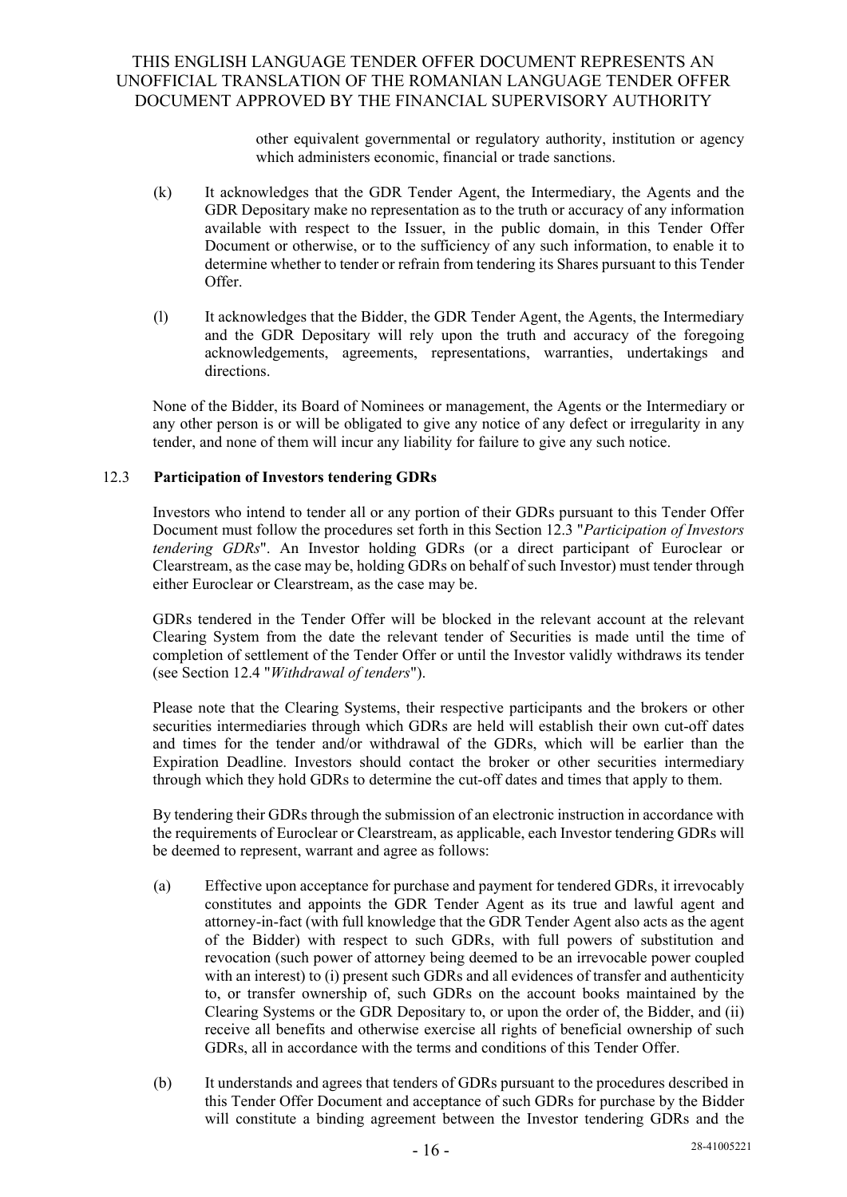other equivalent governmental or regulatory authority, institution or agency which administers economic, financial or trade sanctions.

- (k) It acknowledges that the GDR Tender Agent, the Intermediary, the Agents and the GDR Depositary make no representation as to the truth or accuracy of any information available with respect to the Issuer, in the public domain, in this Tender Offer Document or otherwise, or to the sufficiency of any such information, to enable it to determine whether to tender or refrain from tendering its Shares pursuant to this Tender Offer.
- (l) It acknowledges that the Bidder, the GDR Tender Agent, the Agents, the Intermediary and the GDR Depositary will rely upon the truth and accuracy of the foregoing acknowledgements, agreements, representations, warranties, undertakings and directions.

None of the Bidder, its Board of Nominees or management, the Agents or the Intermediary or any other person is or will be obligated to give any notice of any defect or irregularity in any tender, and none of them will incur any liability for failure to give any such notice.

### 12.3 **Participation of Investors tendering GDRs**

Investors who intend to tender all or any portion of their GDRs pursuant to this Tender Offer Document must follow the procedures set forth in this Section 12.3 "*Participation of Investors tendering GDRs*". An Investor holding GDRs (or a direct participant of Euroclear or Clearstream, as the case may be, holding GDRs on behalf of such Investor) must tender through either Euroclear or Clearstream, as the case may be.

GDRs tendered in the Tender Offer will be blocked in the relevant account at the relevant Clearing System from the date the relevant tender of Securities is made until the time of completion of settlement of the Tender Offer or until the Investor validly withdraws its tender (see Section 12.4 "*Withdrawal of tenders*").

Please note that the Clearing Systems, their respective participants and the brokers or other securities intermediaries through which GDRs are held will establish their own cut-off dates and times for the tender and/or withdrawal of the GDRs, which will be earlier than the Expiration Deadline. Investors should contact the broker or other securities intermediary through which they hold GDRs to determine the cut-off dates and times that apply to them.

By tendering their GDRs through the submission of an electronic instruction in accordance with the requirements of Euroclear or Clearstream, as applicable, each Investor tendering GDRs will be deemed to represent, warrant and agree as follows:

- (a) Effective upon acceptance for purchase and payment for tendered GDRs, it irrevocably constitutes and appoints the GDR Tender Agent as its true and lawful agent and attorney-in-fact (with full knowledge that the GDR Tender Agent also acts as the agent of the Bidder) with respect to such GDRs, with full powers of substitution and revocation (such power of attorney being deemed to be an irrevocable power coupled with an interest) to (i) present such GDRs and all evidences of transfer and authenticity to, or transfer ownership of, such GDRs on the account books maintained by the Clearing Systems or the GDR Depositary to, or upon the order of, the Bidder, and (ii) receive all benefits and otherwise exercise all rights of beneficial ownership of such GDRs, all in accordance with the terms and conditions of this Tender Offer.
- (b) It understands and agrees that tenders of GDRs pursuant to the procedures described in this Tender Offer Document and acceptance of such GDRs for purchase by the Bidder will constitute a binding agreement between the Investor tendering GDRs and the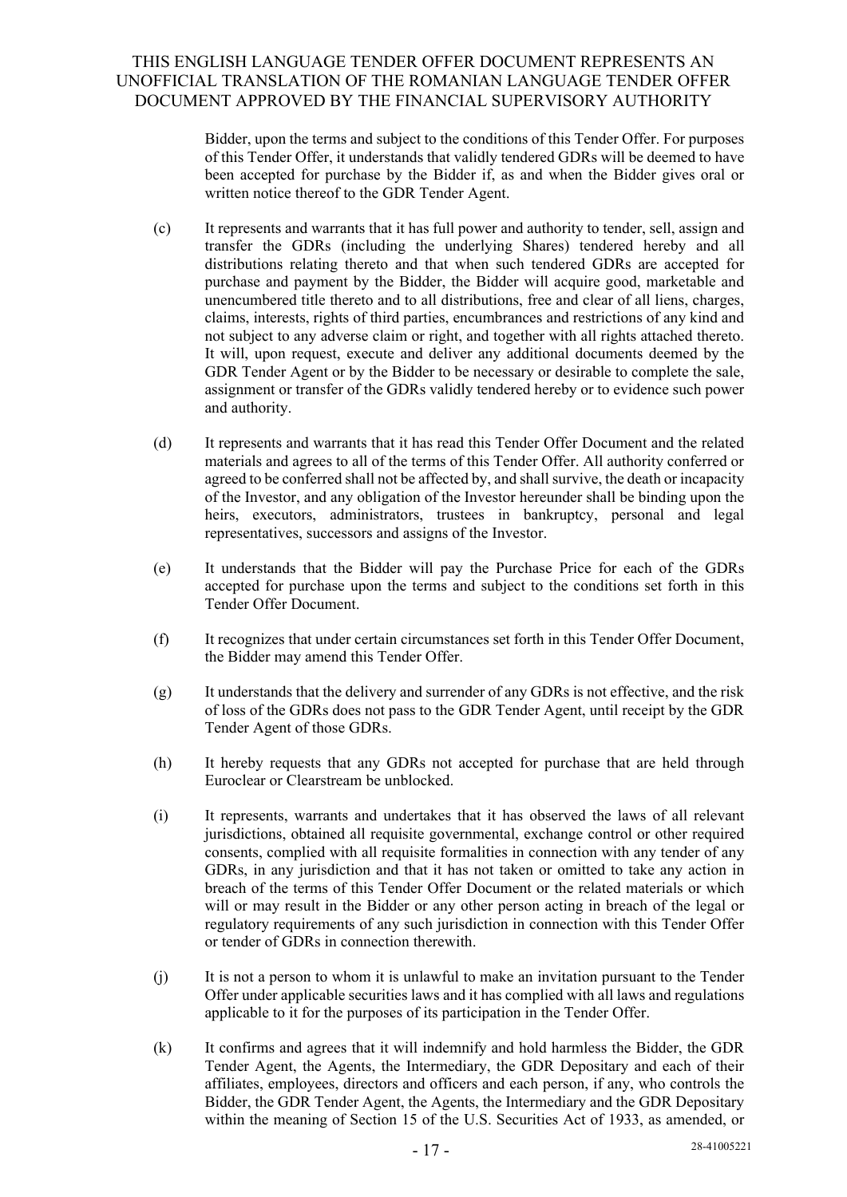Bidder, upon the terms and subject to the conditions of this Tender Offer. For purposes of this Tender Offer, it understands that validly tendered GDRs will be deemed to have been accepted for purchase by the Bidder if, as and when the Bidder gives oral or written notice thereof to the GDR Tender Agent.

- (c) It represents and warrants that it has full power and authority to tender, sell, assign and transfer the GDRs (including the underlying Shares) tendered hereby and all distributions relating thereto and that when such tendered GDRs are accepted for purchase and payment by the Bidder, the Bidder will acquire good, marketable and unencumbered title thereto and to all distributions, free and clear of all liens, charges, claims, interests, rights of third parties, encumbrances and restrictions of any kind and not subject to any adverse claim or right, and together with all rights attached thereto. It will, upon request, execute and deliver any additional documents deemed by the GDR Tender Agent or by the Bidder to be necessary or desirable to complete the sale, assignment or transfer of the GDRs validly tendered hereby or to evidence such power and authority.
- (d) It represents and warrants that it has read this Tender Offer Document and the related materials and agrees to all of the terms of this Tender Offer. All authority conferred or agreed to be conferred shall not be affected by, and shall survive, the death or incapacity of the Investor, and any obligation of the Investor hereunder shall be binding upon the heirs, executors, administrators, trustees in bankruptcy, personal and legal representatives, successors and assigns of the Investor.
- (e) It understands that the Bidder will pay the Purchase Price for each of the GDRs accepted for purchase upon the terms and subject to the conditions set forth in this Tender Offer Document.
- (f) It recognizes that under certain circumstances set forth in this Tender Offer Document, the Bidder may amend this Tender Offer.
- (g) It understands that the delivery and surrender of any GDRs is not effective, and the risk of loss of the GDRs does not pass to the GDR Tender Agent, until receipt by the GDR Tender Agent of those GDRs.
- (h) It hereby requests that any GDRs not accepted for purchase that are held through Euroclear or Clearstream be unblocked.
- (i) It represents, warrants and undertakes that it has observed the laws of all relevant jurisdictions, obtained all requisite governmental, exchange control or other required consents, complied with all requisite formalities in connection with any tender of any GDRs, in any jurisdiction and that it has not taken or omitted to take any action in breach of the terms of this Tender Offer Document or the related materials or which will or may result in the Bidder or any other person acting in breach of the legal or regulatory requirements of any such jurisdiction in connection with this Tender Offer or tender of GDRs in connection therewith.
- (j) It is not a person to whom it is unlawful to make an invitation pursuant to the Tender Offer under applicable securities laws and it has complied with all laws and regulations applicable to it for the purposes of its participation in the Tender Offer.
- (k) It confirms and agrees that it will indemnify and hold harmless the Bidder, the GDR Tender Agent, the Agents, the Intermediary, the GDR Depositary and each of their affiliates, employees, directors and officers and each person, if any, who controls the Bidder, the GDR Tender Agent, the Agents, the Intermediary and the GDR Depositary within the meaning of Section 15 of the U.S. Securities Act of 1933, as amended, or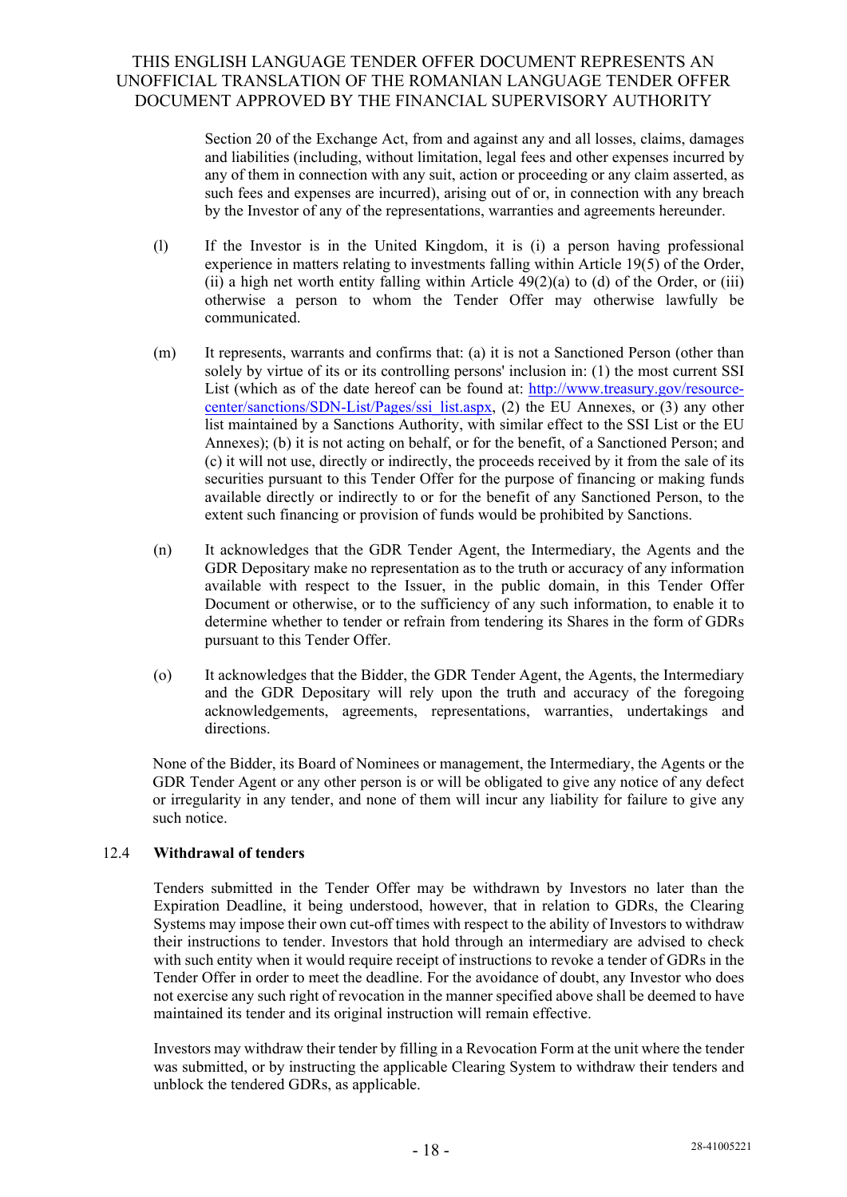Section 20 of the Exchange Act, from and against any and all losses, claims, damages and liabilities (including, without limitation, legal fees and other expenses incurred by any of them in connection with any suit, action or proceeding or any claim asserted, as such fees and expenses are incurred), arising out of or, in connection with any breach by the Investor of any of the representations, warranties and agreements hereunder.

- (l) If the Investor is in the United Kingdom, it is (i) a person having professional experience in matters relating to investments falling within Article 19(5) of the Order, (ii) a high net worth entity falling within Article  $49(2)(a)$  to (d) of the Order, or (iii) otherwise a person to whom the Tender Offer may otherwise lawfully be communicated.
- (m) It represents, warrants and confirms that: (a) it is not a Sanctioned Person (other than solely by virtue of its or its controlling persons' inclusion in: (1) the most current SSI List (which as of the date hereof can be found at: http://www.treasury.gov/resourcecenter/sanctions/SDN-List/Pages/ssi\_list.aspx, (2) the EU Annexes, or (3) any other list maintained by a Sanctions Authority, with similar effect to the SSI List or the EU Annexes); (b) it is not acting on behalf, or for the benefit, of a Sanctioned Person; and (c) it will not use, directly or indirectly, the proceeds received by it from the sale of its securities pursuant to this Tender Offer for the purpose of financing or making funds available directly or indirectly to or for the benefit of any Sanctioned Person, to the extent such financing or provision of funds would be prohibited by Sanctions.
- (n) It acknowledges that the GDR Tender Agent, the Intermediary, the Agents and the GDR Depositary make no representation as to the truth or accuracy of any information available with respect to the Issuer, in the public domain, in this Tender Offer Document or otherwise, or to the sufficiency of any such information, to enable it to determine whether to tender or refrain from tendering its Shares in the form of GDRs pursuant to this Tender Offer.
- (o) It acknowledges that the Bidder, the GDR Tender Agent, the Agents, the Intermediary and the GDR Depositary will rely upon the truth and accuracy of the foregoing acknowledgements, agreements, representations, warranties, undertakings and directions.

None of the Bidder, its Board of Nominees or management, the Intermediary, the Agents or the GDR Tender Agent or any other person is or will be obligated to give any notice of any defect or irregularity in any tender, and none of them will incur any liability for failure to give any such notice.

### 12.4 **Withdrawal of tenders**

Tenders submitted in the Tender Offer may be withdrawn by Investors no later than the Expiration Deadline, it being understood, however, that in relation to GDRs, the Clearing Systems may impose their own cut-off times with respect to the ability of Investors to withdraw their instructions to tender. Investors that hold through an intermediary are advised to check with such entity when it would require receipt of instructions to revoke a tender of GDRs in the Tender Offer in order to meet the deadline. For the avoidance of doubt, any Investor who does not exercise any such right of revocation in the manner specified above shall be deemed to have maintained its tender and its original instruction will remain effective.

Investors may withdraw their tender by filling in a Revocation Form at the unit where the tender was submitted, or by instructing the applicable Clearing System to withdraw their tenders and unblock the tendered GDRs, as applicable.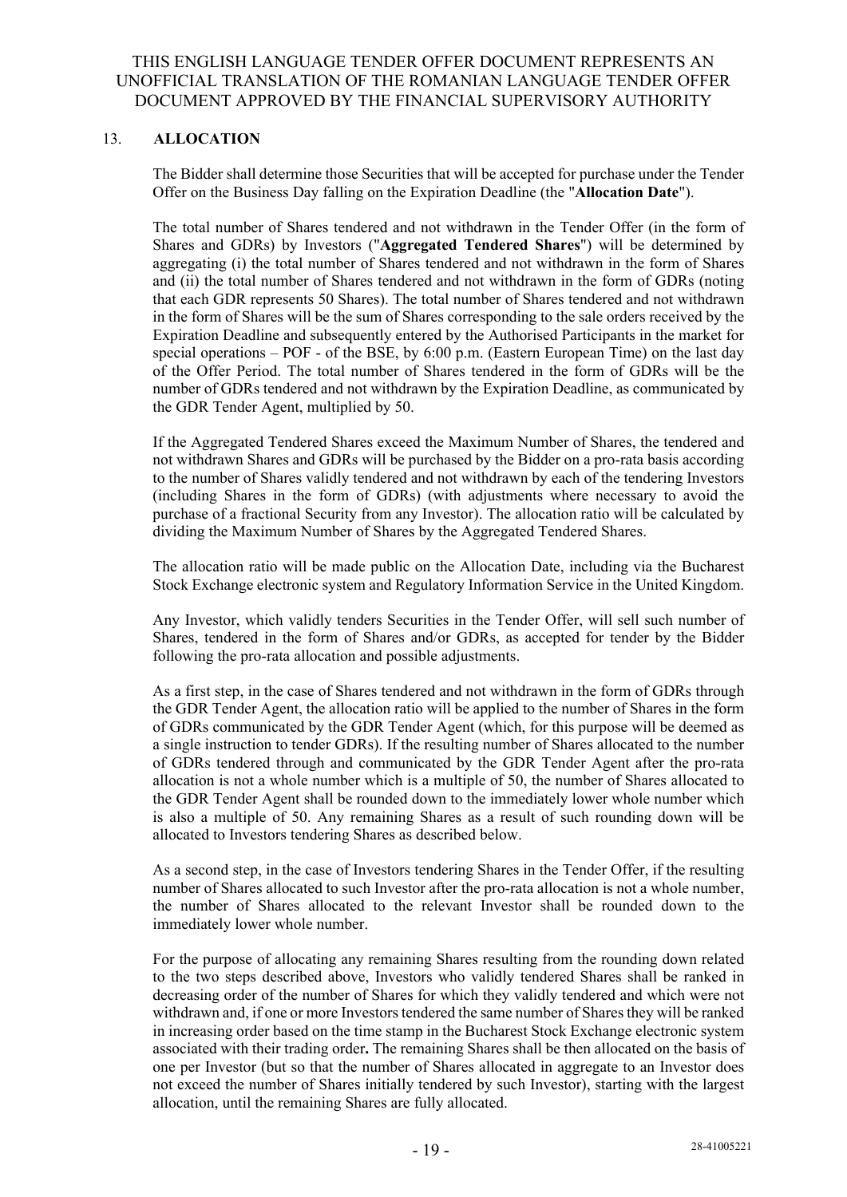### 13. **ALLOCATION**

The Bidder shall determine those Securities that will be accepted for purchase under the Tender Offer on the Business Day falling on the Expiration Deadline (the "**Allocation Date**").

The total number of Shares tendered and not withdrawn in the Tender Offer (in the form of Shares and GDRs) by Investors ("**Aggregated Tendered Shares**") will be determined by aggregating (i) the total number of Shares tendered and not withdrawn in the form of Shares and (ii) the total number of Shares tendered and not withdrawn in the form of GDRs (noting that each GDR represents 50 Shares). The total number of Shares tendered and not withdrawn in the form of Shares will be the sum of Shares corresponding to the sale orders received by the Expiration Deadline and subsequently entered by the Authorised Participants in the market for special operations – POF - of the BSE, by 6:00 p.m. (Eastern European Time) on the last day of the Offer Period. The total number of Shares tendered in the form of GDRs will be the number of GDRs tendered and not withdrawn by the Expiration Deadline, as communicated by the GDR Tender Agent, multiplied by 50.

If the Aggregated Tendered Shares exceed the Maximum Number of Shares, the tendered and not withdrawn Shares and GDRs will be purchased by the Bidder on a pro-rata basis according to the number of Shares validly tendered and not withdrawn by each of the tendering Investors (including Shares in the form of GDRs) (with adjustments where necessary to avoid the purchase of a fractional Security from any Investor). The allocation ratio will be calculated by dividing the Maximum Number of Shares by the Aggregated Tendered Shares.

The allocation ratio will be made public on the Allocation Date, including via the Bucharest Stock Exchange electronic system and Regulatory Information Service in the United Kingdom.

Any Investor, which validly tenders Securities in the Tender Offer, will sell such number of Shares, tendered in the form of Shares and/or GDRs, as accepted for tender by the Bidder following the pro-rata allocation and possible adjustments.

As a first step, in the case of Shares tendered and not withdrawn in the form of GDRs through the GDR Tender Agent, the allocation ratio will be applied to the number of Shares in the form of GDRs communicated by the GDR Tender Agent (which, for this purpose will be deemed as a single instruction to tender GDRs). If the resulting number of Shares allocated to the number of GDRs tendered through and communicated by the GDR Tender Agent after the pro-rata allocation is not a whole number which is a multiple of 50, the number of Shares allocated to the GDR Tender Agent shall be rounded down to the immediately lower whole number which is also a multiple of 50. Any remaining Shares as a result of such rounding down will be allocated to Investors tendering Shares as described below.

As a second step, in the case of Investors tendering Shares in the Tender Offer, if the resulting number of Shares allocated to such Investor after the pro-rata allocation is not a whole number, the number of Shares allocated to the relevant Investor shall be rounded down to the immediately lower whole number.

For the purpose of allocating any remaining Shares resulting from the rounding down related to the two steps described above, Investors who validly tendered Shares shall be ranked in decreasing order of the number of Shares for which they validly tendered and which were not withdrawn and, if one or more Investors tendered the same number of Shares they will be ranked in increasing order based on the time stamp in the Bucharest Stock Exchange electronic system associated with their trading order**.** The remaining Shares shall be then allocated on the basis of one per Investor (but so that the number of Shares allocated in aggregate to an Investor does not exceed the number of Shares initially tendered by such Investor), starting with the largest allocation, until the remaining Shares are fully allocated.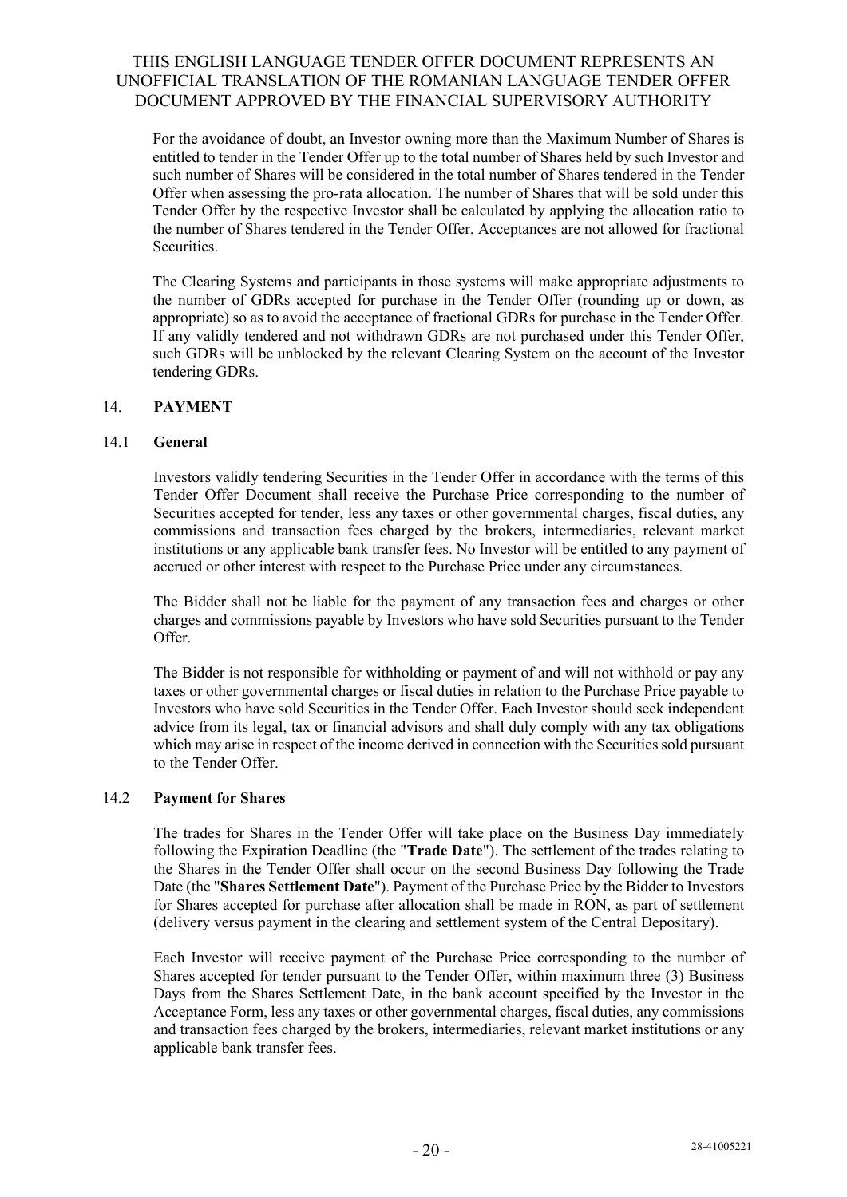For the avoidance of doubt, an Investor owning more than the Maximum Number of Shares is entitled to tender in the Tender Offer up to the total number of Shares held by such Investor and such number of Shares will be considered in the total number of Shares tendered in the Tender Offer when assessing the pro-rata allocation. The number of Shares that will be sold under this Tender Offer by the respective Investor shall be calculated by applying the allocation ratio to the number of Shares tendered in the Tender Offer. Acceptances are not allowed for fractional Securities.

The Clearing Systems and participants in those systems will make appropriate adjustments to the number of GDRs accepted for purchase in the Tender Offer (rounding up or down, as appropriate) so as to avoid the acceptance of fractional GDRs for purchase in the Tender Offer. If any validly tendered and not withdrawn GDRs are not purchased under this Tender Offer, such GDRs will be unblocked by the relevant Clearing System on the account of the Investor tendering GDRs.

### 14. **PAYMENT**

### 14.1 **General**

Investors validly tendering Securities in the Tender Offer in accordance with the terms of this Tender Offer Document shall receive the Purchase Price corresponding to the number of Securities accepted for tender, less any taxes or other governmental charges, fiscal duties, any commissions and transaction fees charged by the brokers, intermediaries, relevant market institutions or any applicable bank transfer fees. No Investor will be entitled to any payment of accrued or other interest with respect to the Purchase Price under any circumstances.

The Bidder shall not be liable for the payment of any transaction fees and charges or other charges and commissions payable by Investors who have sold Securities pursuant to the Tender Offer.

The Bidder is not responsible for withholding or payment of and will not withhold or pay any taxes or other governmental charges or fiscal duties in relation to the Purchase Price payable to Investors who have sold Securities in the Tender Offer. Each Investor should seek independent advice from its legal, tax or financial advisors and shall duly comply with any tax obligations which may arise in respect of the income derived in connection with the Securities sold pursuant to the Tender Offer.

### 14.2 **Payment for Shares**

The trades for Shares in the Tender Offer will take place on the Business Day immediately following the Expiration Deadline (the "**Trade Date**"). The settlement of the trades relating to the Shares in the Tender Offer shall occur on the second Business Day following the Trade Date (the "**Shares Settlement Date**"). Payment of the Purchase Price by the Bidder to Investors for Shares accepted for purchase after allocation shall be made in RON, as part of settlement (delivery versus payment in the clearing and settlement system of the Central Depositary).

Each Investor will receive payment of the Purchase Price corresponding to the number of Shares accepted for tender pursuant to the Tender Offer, within maximum three (3) Business Days from the Shares Settlement Date, in the bank account specified by the Investor in the Acceptance Form, less any taxes or other governmental charges, fiscal duties, any commissions and transaction fees charged by the brokers, intermediaries, relevant market institutions or any applicable bank transfer fees.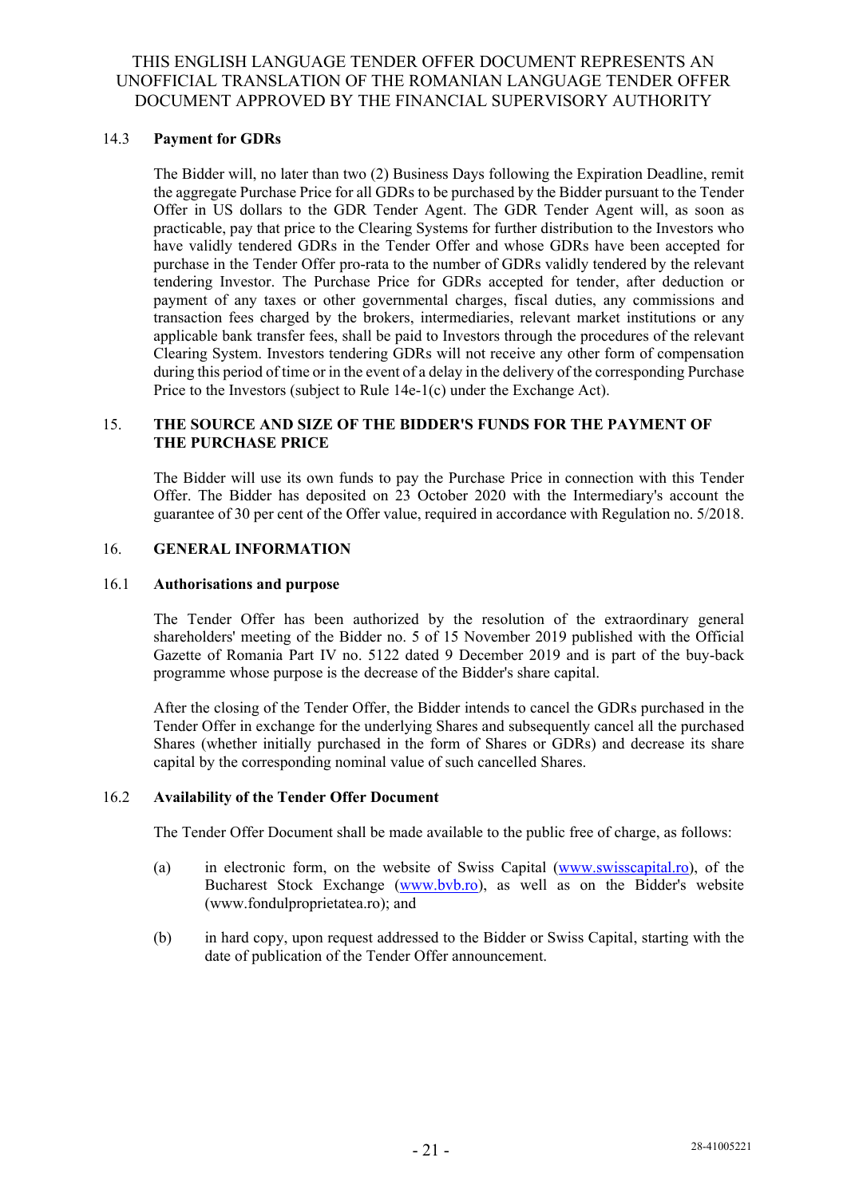### 14.3 **Payment for GDRs**

The Bidder will, no later than two (2) Business Days following the Expiration Deadline, remit the aggregate Purchase Price for all GDRs to be purchased by the Bidder pursuant to the Tender Offer in US dollars to the GDR Tender Agent. The GDR Tender Agent will, as soon as practicable, pay that price to the Clearing Systems for further distribution to the Investors who have validly tendered GDRs in the Tender Offer and whose GDRs have been accepted for purchase in the Tender Offer pro-rata to the number of GDRs validly tendered by the relevant tendering Investor. The Purchase Price for GDRs accepted for tender, after deduction or payment of any taxes or other governmental charges, fiscal duties, any commissions and transaction fees charged by the brokers, intermediaries, relevant market institutions or any applicable bank transfer fees, shall be paid to Investors through the procedures of the relevant Clearing System. Investors tendering GDRs will not receive any other form of compensation during this period of time or in the event of a delay in the delivery of the corresponding Purchase Price to the Investors (subject to Rule 14e-1(c) under the Exchange Act).

#### 15. **THE SOURCE AND SIZE OF THE BIDDER'S FUNDS FOR THE PAYMENT OF THE PURCHASE PRICE**

The Bidder will use its own funds to pay the Purchase Price in connection with this Tender Offer. The Bidder has deposited on 23 October 2020 with the Intermediary's account the guarantee of 30 per cent of the Offer value, required in accordance with Regulation no. 5/2018.

### 16. **GENERAL INFORMATION**

### 16.1 **Authorisations and purpose**

The Tender Offer has been authorized by the resolution of the extraordinary general shareholders' meeting of the Bidder no. 5 of 15 November 2019 published with the Official Gazette of Romania Part IV no. 5122 dated 9 December 2019 and is part of the buy-back programme whose purpose is the decrease of the Bidder's share capital.

After the closing of the Tender Offer, the Bidder intends to cancel the GDRs purchased in the Tender Offer in exchange for the underlying Shares and subsequently cancel all the purchased Shares (whether initially purchased in the form of Shares or GDRs) and decrease its share capital by the corresponding nominal value of such cancelled Shares.

#### 16.2 **Availability of the Tender Offer Document**

The Tender Offer Document shall be made available to the public free of charge, as follows:

- (a) in electronic form, on the website of Swiss Capital (www.swisscapital.ro), of the Bucharest Stock Exchange (www.bvb.ro), as well as on the Bidder's website (www.fondulproprietatea.ro); and
- (b) in hard copy, upon request addressed to the Bidder or Swiss Capital, starting with the date of publication of the Tender Offer announcement.